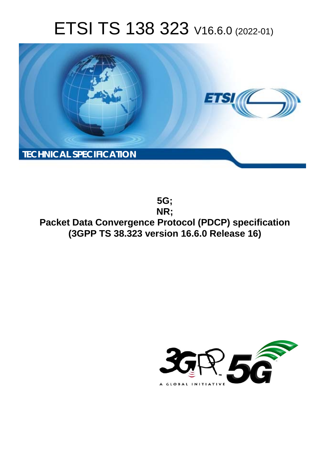# ETSI TS 138 323 V16.6.0 (2022-01)



**5G; NR; Packet Data Convergence Protocol (PDCP) specification (3GPP TS 38.323 version 16.6.0 Release 16)** 

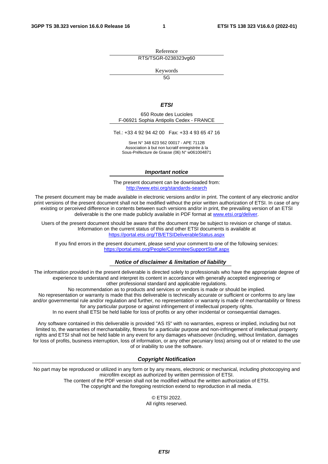Reference RTS/TSGR-0238323vg60

Keywords

 $\overline{5G}$ 

#### *ETSI*

650 Route des Lucioles F-06921 Sophia Antipolis Cedex - FRANCE

Tel.: +33 4 92 94 42 00 Fax: +33 4 93 65 47 16

Siret N° 348 623 562 00017 - APE 7112B Association à but non lucratif enregistrée à la Sous-Préfecture de Grasse (06) N° w061004871

#### *Important notice*

The present document can be downloaded from: <http://www.etsi.org/standards-search>

The present document may be made available in electronic versions and/or in print. The content of any electronic and/or print versions of the present document shall not be modified without the prior written authorization of ETSI. In case of any existing or perceived difference in contents between such versions and/or in print, the prevailing version of an ETSI deliverable is the one made publicly available in PDF format at [www.etsi.org/deliver](http://www.etsi.org/deliver).

Users of the present document should be aware that the document may be subject to revision or change of status. Information on the current status of this and other ETSI documents is available at <https://portal.etsi.org/TB/ETSIDeliverableStatus.aspx>

If you find errors in the present document, please send your comment to one of the following services: <https://portal.etsi.org/People/CommiteeSupportStaff.aspx>

#### *Notice of disclaimer & limitation of liability*

The information provided in the present deliverable is directed solely to professionals who have the appropriate degree of experience to understand and interpret its content in accordance with generally accepted engineering or other professional standard and applicable regulations.

No recommendation as to products and services or vendors is made or should be implied.

No representation or warranty is made that this deliverable is technically accurate or sufficient or conforms to any law and/or governmental rule and/or regulation and further, no representation or warranty is made of merchantability or fitness for any particular purpose or against infringement of intellectual property rights.

In no event shall ETSI be held liable for loss of profits or any other incidental or consequential damages.

Any software contained in this deliverable is provided "AS IS" with no warranties, express or implied, including but not limited to, the warranties of merchantability, fitness for a particular purpose and non-infringement of intellectual property rights and ETSI shall not be held liable in any event for any damages whatsoever (including, without limitation, damages for loss of profits, business interruption, loss of information, or any other pecuniary loss) arising out of or related to the use of or inability to use the software.

#### *Copyright Notification*

No part may be reproduced or utilized in any form or by any means, electronic or mechanical, including photocopying and microfilm except as authorized by written permission of ETSI. The content of the PDF version shall not be modified without the written authorization of ETSI.

The copyright and the foregoing restriction extend to reproduction in all media.

© ETSI 2022. All rights reserved.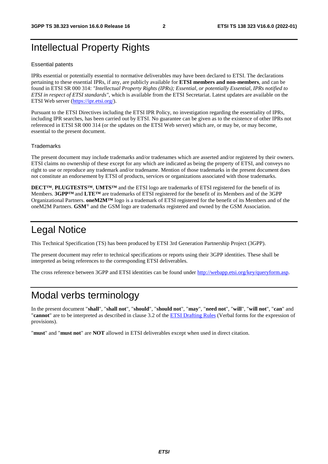# Intellectual Property Rights

#### Essential patents

IPRs essential or potentially essential to normative deliverables may have been declared to ETSI. The declarations pertaining to these essential IPRs, if any, are publicly available for **ETSI members and non-members**, and can be found in ETSI SR 000 314: *"Intellectual Property Rights (IPRs); Essential, or potentially Essential, IPRs notified to ETSI in respect of ETSI standards"*, which is available from the ETSI Secretariat. Latest updates are available on the ETSI Web server ([https://ipr.etsi.org/\)](https://ipr.etsi.org/).

Pursuant to the ETSI Directives including the ETSI IPR Policy, no investigation regarding the essentiality of IPRs, including IPR searches, has been carried out by ETSI. No guarantee can be given as to the existence of other IPRs not referenced in ETSI SR 000 314 (or the updates on the ETSI Web server) which are, or may be, or may become, essential to the present document.

#### **Trademarks**

The present document may include trademarks and/or tradenames which are asserted and/or registered by their owners. ETSI claims no ownership of these except for any which are indicated as being the property of ETSI, and conveys no right to use or reproduce any trademark and/or tradename. Mention of those trademarks in the present document does not constitute an endorsement by ETSI of products, services or organizations associated with those trademarks.

**DECT™**, **PLUGTESTS™**, **UMTS™** and the ETSI logo are trademarks of ETSI registered for the benefit of its Members. **3GPP™** and **LTE™** are trademarks of ETSI registered for the benefit of its Members and of the 3GPP Organizational Partners. **oneM2M™** logo is a trademark of ETSI registered for the benefit of its Members and of the oneM2M Partners. **GSM**® and the GSM logo are trademarks registered and owned by the GSM Association.

# Legal Notice

This Technical Specification (TS) has been produced by ETSI 3rd Generation Partnership Project (3GPP).

The present document may refer to technical specifications or reports using their 3GPP identities. These shall be interpreted as being references to the corresponding ETSI deliverables.

The cross reference between 3GPP and ETSI identities can be found under<http://webapp.etsi.org/key/queryform.asp>.

# Modal verbs terminology

In the present document "**shall**", "**shall not**", "**should**", "**should not**", "**may**", "**need not**", "**will**", "**will not**", "**can**" and "**cannot**" are to be interpreted as described in clause 3.2 of the [ETSI Drafting Rules](https://portal.etsi.org/Services/editHelp!/Howtostart/ETSIDraftingRules.aspx) (Verbal forms for the expression of provisions).

"**must**" and "**must not**" are **NOT** allowed in ETSI deliverables except when used in direct citation.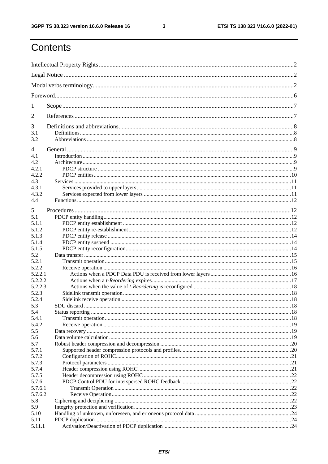$\mathbf{3}$ 

# Contents

| 1              |                          |  |
|----------------|--------------------------|--|
| 2              |                          |  |
| 3              |                          |  |
| 3.1<br>3.2     |                          |  |
| $\overline{4}$ |                          |  |
| 4.1            |                          |  |
| 4.2            |                          |  |
| 4.2.1          |                          |  |
| 4.2.2          |                          |  |
| 4.3            |                          |  |
| 4.3.1          |                          |  |
| 4.3.2          |                          |  |
| 4.4            |                          |  |
|                |                          |  |
| 5              |                          |  |
| 5.1            |                          |  |
| 5.1.1          |                          |  |
| 5.1.2          |                          |  |
| 5.1.3          |                          |  |
| 5.1.4          |                          |  |
| 5.1.5          |                          |  |
| 5.2            |                          |  |
| 5.2.1          |                          |  |
| 5.2.2          |                          |  |
| 5.2.2.1        |                          |  |
| 5.2.2.2        |                          |  |
| 5.2.2.3        |                          |  |
| 5.2.3          |                          |  |
| 5.2.4          |                          |  |
| 5.3            | $\sim$ 18<br>SDU discard |  |
| 5.4            |                          |  |
| 5.4.1          |                          |  |
| 5.4.2          |                          |  |
| 5.5            |                          |  |
| 5.6            |                          |  |
| 5.7            |                          |  |
| 5.7.1          |                          |  |
| 5.7.2          |                          |  |
| 5.7.3          |                          |  |
| 5.7.4          |                          |  |
| 5.7.5          |                          |  |
| 5.7.6          |                          |  |
| 5.7.6.1        |                          |  |
| 5.7.6.2        |                          |  |
|                |                          |  |
| 5.8            |                          |  |
| 5.9            |                          |  |
| 5.10           |                          |  |
| 5.11           |                          |  |
| 5.11.1         |                          |  |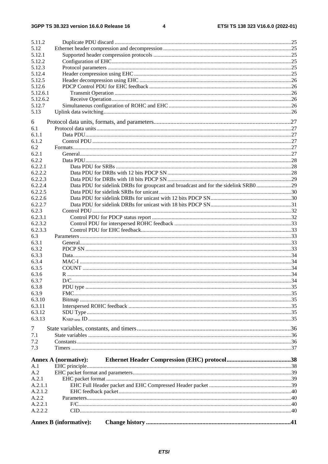$\overline{\mathbf{4}}$ 

|                | <b>Annex B</b> (informative):                                                      |  |
|----------------|------------------------------------------------------------------------------------|--|
|                |                                                                                    |  |
| A.2.2.2        |                                                                                    |  |
| A.2.2.1        |                                                                                    |  |
| A.2.2          |                                                                                    |  |
| A.2.1.2        |                                                                                    |  |
| A.2.1.1        |                                                                                    |  |
| A.2.1          |                                                                                    |  |
| A.2            |                                                                                    |  |
| A.1            |                                                                                    |  |
|                | <b>Annex A (normative):</b>                                                        |  |
| 7.3            |                                                                                    |  |
|                |                                                                                    |  |
| 7.1<br>7.2     |                                                                                    |  |
|                |                                                                                    |  |
| $\tau$         |                                                                                    |  |
| 6.3.13         |                                                                                    |  |
| 6.3.12         |                                                                                    |  |
| 6.3.11         |                                                                                    |  |
| 6.3.10         |                                                                                    |  |
| 6.3.9          |                                                                                    |  |
| 6.3.8          |                                                                                    |  |
| 6.3.7          |                                                                                    |  |
| 6.3.6          |                                                                                    |  |
| 6.3.5          |                                                                                    |  |
|                |                                                                                    |  |
| 6.3.3<br>6.3.4 |                                                                                    |  |
|                |                                                                                    |  |
| 6.3.2          |                                                                                    |  |
| 6.3.1          |                                                                                    |  |
| 6.3            |                                                                                    |  |
| 6.2.3.3        |                                                                                    |  |
| 6.2.3.2        |                                                                                    |  |
| 6.2.3.1        |                                                                                    |  |
| 6.2.3          |                                                                                    |  |
| 6.2.2.7        |                                                                                    |  |
| 6.2.2.6        |                                                                                    |  |
| 6.2.2.5        |                                                                                    |  |
| 6.2.2.4        | Data PDU for sidelink DRBs for groupcast and broadcast and for the sidelink SRB029 |  |
| 6.2.2.3        |                                                                                    |  |
| 6.2.2.2        |                                                                                    |  |
| 6.2.2.1        |                                                                                    |  |
| 6.2.2          |                                                                                    |  |
| 6.2.1          |                                                                                    |  |
| 6.2            |                                                                                    |  |
| 6.1.2          |                                                                                    |  |
| 6.1.1          |                                                                                    |  |
| 6.1            |                                                                                    |  |
| 6              |                                                                                    |  |
|                |                                                                                    |  |
| 5.13           |                                                                                    |  |
| 5.12.7         |                                                                                    |  |
| 5.12.6.2       |                                                                                    |  |
| 5.12.6.1       |                                                                                    |  |
| 5.12.6         |                                                                                    |  |
| 5.12.5         |                                                                                    |  |
| 5.12.4         |                                                                                    |  |
| 5.12.3         |                                                                                    |  |
| 5.12.2         |                                                                                    |  |
| 5.12.1         |                                                                                    |  |
| 5.12           |                                                                                    |  |
| 5.11.2         |                                                                                    |  |
|                |                                                                                    |  |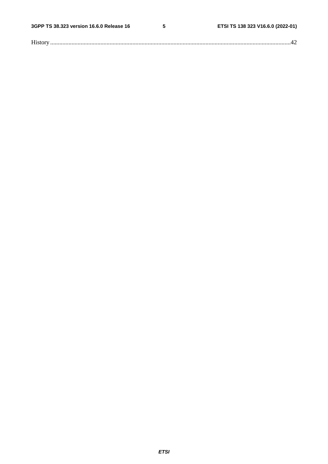$5\phantom{a}$ 

| $\mathbf{r}$ |  |
|--------------|--|
|--------------|--|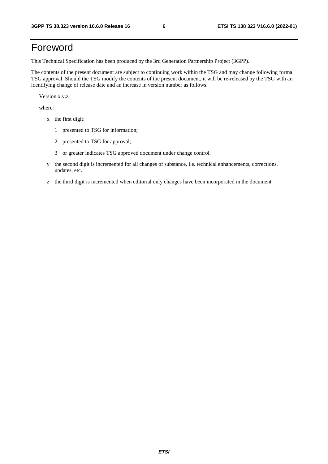# Foreword

This Technical Specification has been produced by the 3rd Generation Partnership Project (3GPP).

The contents of the present document are subject to continuing work within the TSG and may change following formal TSG approval. Should the TSG modify the contents of the present document, it will be re-released by the TSG with an identifying change of release date and an increase in version number as follows:

Version x.y.z

where:

- x the first digit:
	- 1 presented to TSG for information;
	- 2 presented to TSG for approval;
	- 3 or greater indicates TSG approved document under change control.
- y the second digit is incremented for all changes of substance, i.e. technical enhancements, corrections, updates, etc.
- z the third digit is incremented when editorial only changes have been incorporated in the document.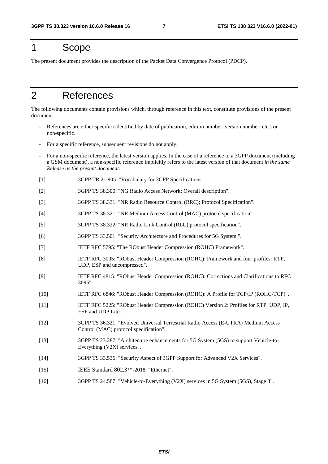# 1 Scope

The present document provides the description of the Packet Data Convergence Protocol (PDCP).

# 2 References

The following documents contain provisions which, through reference in this text, constitute provisions of the present document.

- References are either specific (identified by date of publication, edition number, version number, etc.) or non-specific.
- For a specific reference, subsequent revisions do not apply.
- For a non-specific reference, the latest version applies. In the case of a reference to a 3GPP document (including a GSM document), a non-specific reference implicitly refers to the latest version of that document *in the same Release as the present document*.
- [1] 3GPP TR 21.905: "Vocabulary for 3GPP Specifications".
- [2] 3GPP TS 38.300: "NG Radio Access Network; Overall description".
- [3] 3GPP TS 38.331: "NR Radio Resource Control (RRC); Protocol Specification".
- [4] 3GPP TS 38.321: "NR Medium Access Control (MAC) protocol specification".
- [5] 3GPP TS 38.322: "NR Radio Link Control (RLC) protocol specification".
- [6] 3GPP TS 33.501: "Security Architecture and Procedures for 5G System ".
- [7] IETF RFC 5795: "The RObust Header Compression (ROHC) Framework".
- [8] IETF RFC 3095: "RObust Header Compression (ROHC): Framework and four profiles: RTP, UDP, ESP and uncompressed".
- [9] IETF RFC 4815: "RObust Header Compression (ROHC): Corrections and Clarifications to RFC 3095".
- [10] IETF RFC 6846: "RObust Header Compression (ROHC): A Profile for TCP/IP (ROHC-TCP)".
- [11] IETF RFC 5225: "RObust Header Compression (ROHC) Version 2: Profiles for RTP, UDP, IP, ESP and UDP Lite".
- [12] 3GPP TS 36.321: "Evolved Universal Terrestrial Radio Access (E-UTRA) Medium Access Control (MAC) protocol specification".
- [13] 3GPP TS 23.287: "Architecture enhancements for 5G System (5GS) to support Vehicle-to-Everything (V2X) services".
- [14] 3GPP TS 33.536: "Security Aspect of 3GPP Support for Advanced V2X Services".
- [15] IEEE Standard 802.3™-2018: "Ethernet".
- [16] 3GPP TS 24.587: "Vehicle-to-Everything (V2X) services in 5G System (5GS), Stage 3".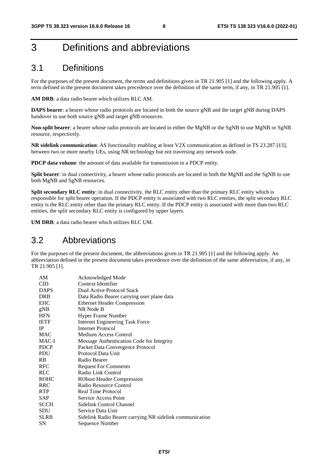# 3 Definitions and abbreviations

### 3.1 Definitions

For the purposes of the present document, the terms and definitions given in TR 21.905 [1] and the following apply. A term defined in the present document takes precedence over the definition of the same term, if any, in TR 21.905 [1].

**AM DRB**: a data radio bearer which utilizes RLC AM.

**DAPS bearer**: a bearer whose radio protocols are located in both the source gNB and the target gNB during DAPS handover to use both source gNB and target gNB resources.

**Non-split bearer**: a bearer whose radio protocols are located in either the MgNB or the SgNB to use MgNB or SgNB resource, respectively.

**NR sidelink communication**: AS functionality enabling at least V2X communication as defined in TS 23.287 [13], between two or more nearby UEs, using NR technology but not traversing any network node.

**PDCP data volume**: the amount of data available for transmission in a PDCP entity.

**Split bearer**: in dual connectivity, a bearer whose radio protocols are located in both the MgNB and the SgNB to use both MgNB and SgNB resources.

**Split secondary RLC entity**: in dual connectivity, the RLC entity other than the primary RLC entity which is responsible for split bearer operation. If the PDCP entity is associated with two RLC entities, the split secondary RLC entity is the RLC entity other than the primary RLC entity. If the PDCP entity is associated with more than two RLC entities, the split secondary RLC entity is configured by upper layers.

**UM DRB**: a data radio bearer which utilizes RLC UM.

### 3.2 Abbreviations

For the purposes of the present document, the abbreviations given in TR 21.905 [1] and the following apply. An abbreviation defined in the present document takes precedence over the definition of the same abbreviation, if any, in TR 21.905 [1].

| AM          | Acknowledged Mode                                        |
|-------------|----------------------------------------------------------|
| CID         | Context Identifier                                       |
| <b>DAPS</b> | Dual Active Protocol Stack                               |
| <b>DRB</b>  | Data Radio Bearer carrying user plane data               |
| <b>EHC</b>  | <b>Ethernet Header Compression</b>                       |
| gNB         | NR Node B                                                |
| HFN         | Hyper Frame Number                                       |
| <b>IETF</b> | <b>Internet Engineering Task Force</b>                   |
| <b>IP</b>   | <b>Internet Protocol</b>                                 |
| <b>MAC</b>  | Medium Access Control                                    |
| MAC-I       | Message Authentication Code for Integrity                |
| <b>PDCP</b> | Packet Data Convergence Protocol                         |
| PDU         | Protocol Data Unit                                       |
| <b>RB</b>   | Radio Bearer                                             |
| <b>RFC</b>  | <b>Request For Comments</b>                              |
| RLC         | Radio Link Control                                       |
| <b>ROHC</b> | <b>RObust Header Compression</b>                         |
| <b>RRC</b>  | Radio Resource Control                                   |
| <b>RTP</b>  | Real Time Protocol                                       |
| SAP         | Service Access Point                                     |
| SCCH        | Sidelink Control Channel                                 |
| SDU         | Service Data Unit                                        |
| <b>SLRB</b> | Sidelink Radio Bearer carrying NR sidelink communication |
| SΝ          | Sequence Number                                          |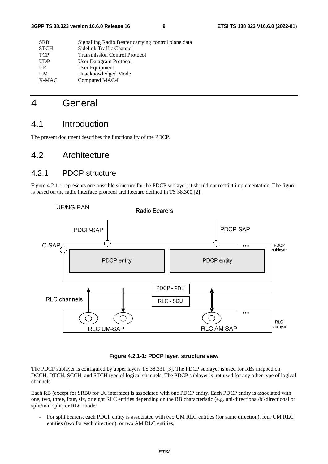| <b>SRB</b>  | Signalling Radio Bearer carrying control plane data |
|-------------|-----------------------------------------------------|
| <b>STCH</b> | Sidelink Traffic Channel                            |
| <b>TCP</b>  | <b>Transmission Control Protocol</b>                |
| <b>UDP</b>  | User Datagram Protocol                              |
| UE          | User Equipment                                      |
| UM          | Unacknowledged Mode                                 |
| X-MAC       | Computed MAC-I                                      |
|             |                                                     |

# 4 General

### 4.1 Introduction

The present document describes the functionality of the PDCP.

### 4.2 Architecture

### 4.2.1 PDCP structure

Figure 4.2.1.1 represents one possible structure for the PDCP sublayer; it should not restrict implementation. The figure is based on the radio interface protocol architecture defined in TS 38.300 [2].



#### **Figure 4.2.1-1: PDCP layer, structure view**

The PDCP sublayer is configured by upper layers TS 38.331 [3]. The PDCP sublayer is used for RBs mapped on DCCH, DTCH, SCCH, and STCH type of logical channels. The PDCP sublayer is not used for any other type of logical channels.

Each RB (except for SRB0 for Uu interface) is associated with one PDCP entity. Each PDCP entity is associated with one, two, three, four, six, or eight RLC entities depending on the RB characteristic (e.g. uni-directional/bi-directional or split/non-split) or RLC mode:

- For split bearers, each PDCP entity is associated with two UM RLC entities (for same direction), four UM RLC entities (two for each direction), or two AM RLC entities;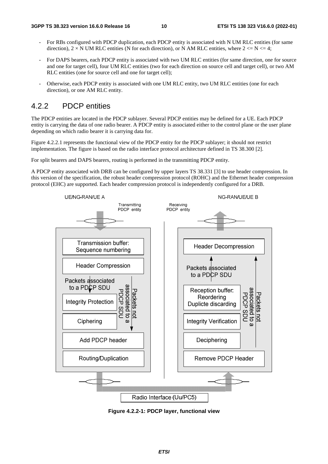- For RBs configured with PDCP duplication, each PDCP entity is associated with N UM RLC entities (for same direction),  $2 \times N$  UM RLC entities (N for each direction), or N AM RLC entities, where  $2 \le N \le 4$ ;
- For DAPS bearers, each PDCP entity is associated with two UM RLC entities (for same direction, one for source and one for target cell), four UM RLC entities (two for each direction on source cell and target cell), or two AM RLC entities (one for source cell and one for target cell);
- Otherwise, each PDCP entity is associated with one UM RLC entity, two UM RLC entities (one for each direction), or one AM RLC entity.

### 4.2.2 PDCP entities

The PDCP entities are located in the PDCP sublayer. Several PDCP entities may be defined for a UE. Each PDCP entity is carrying the data of one radio bearer. A PDCP entity is associated either to the control plane or the user plane depending on which radio bearer it is carrying data for.

Figure 4.2.2.1 represents the functional view of the PDCP entity for the PDCP sublayer; it should not restrict implementation. The figure is based on the radio interface protocol architecture defined in TS 38.300 [2].

For split bearers and DAPS bearers, routing is performed in the transmitting PDCP entity.

A PDCP entity associated with DRB can be configured by upper layers TS 38.331 [3] to use header compression. In this version of the specification, the robust header compression protocol (ROHC) and the Ethernet header compression protocol (EHC) are supported. Each header compression protocol is independently configured for a DRB.



**Figure 4.2.2-1: PDCP layer, functional view**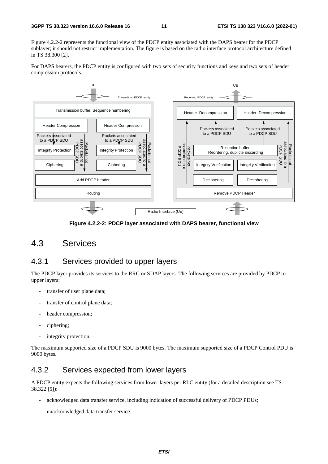Figure 4.2.2-2 represents the functional view of the PDCP entity associated with the DAPS bearer for the PDCP sublayer; it should not restrict implementation. The figure is based on the radio interface protocol architecture defined in TS 38.300 [2].

For DAPS bearers, the PDCP entity is configured with two sets of security functions and keys and two sets of header compression protocols.



**Figure 4.2.2-2: PDCP layer associated with DAPS bearer, functional view** 

### 4.3 Services

#### 4.3.1 Services provided to upper layers

The PDCP layer provides its services to the RRC or SDAP layers. The following services are provided by PDCP to upper layers:

- transfer of user plane data;
- transfer of control plane data;
- header compression:
- ciphering;
- integrity protection.

The maximum supported size of a PDCP SDU is 9000 bytes. The maximum supported size of a PDCP Control PDU is 9000 bytes.

### 4.3.2 Services expected from lower layers

A PDCP entity expects the following services from lower layers per RLC entity (for a detailed description see TS 38.322 [5]):

- acknowledged data transfer service, including indication of successful delivery of PDCP PDUs;
- unacknowledged data transfer service.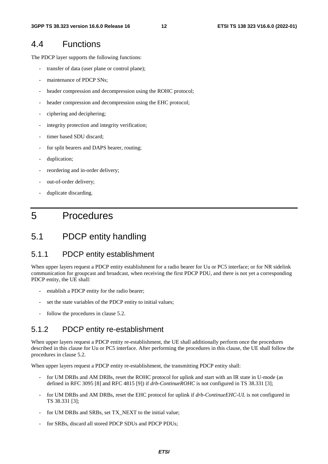### 4.4 Functions

The PDCP layer supports the following functions:

- transfer of data (user plane or control plane);
- maintenance of PDCP SNs;
- header compression and decompression using the ROHC protocol;
- header compression and decompression using the EHC protocol;
- ciphering and deciphering;
- integrity protection and integrity verification;
- timer based SDU discard;
- for split bearers and DAPS bearer, routing;
- duplication;
- reordering and in-order delivery;
- out-of-order delivery;
- duplicate discarding.

# 5 Procedures

### 5.1 PDCP entity handling

#### 5.1.1 PDCP entity establishment

When upper layers request a PDCP entity establishment for a radio bearer for Uu or PC5 interface; or for NR sidelink communication for groupcast and broadcast, when receiving the first PDCP PDU, and there is not yet a corresponding PDCP entity, the UE shall:

- establish a PDCP entity for the radio bearer;
- set the state variables of the PDCP entity to initial values;
- follow the procedures in clause 5.2.

#### 5.1.2 PDCP entity re-establishment

When upper layers request a PDCP entity re-establishment, the UE shall additionally perform once the procedures described in this clause for Uu or PC5 interface. After performing the procedures in this clause, the UE shall follow the procedures in clause 5.2.

When upper layers request a PDCP entity re-establishment, the transmitting PDCP entity shall:

- for UM DRBs and AM DRBs, reset the ROHC protocol for uplink and start with an IR state in U-mode (as defined in RFC 3095 [8] and RFC 4815 [9]) if *drb-ContinueROHC* is not configured in TS 38.331 [3];
- for UM DRBs and AM DRBs, reset the EHC protocol for uplink if  $drb$ -ContinueEHC-UL is not configured in TS 38.331 [3];
- for UM DRBs and SRBs, set TX\_NEXT to the initial value;
- for SRBs, discard all stored PDCP SDUs and PDCP PDUs;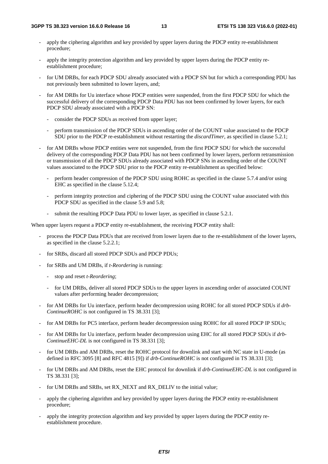- apply the ciphering algorithm and key provided by upper layers during the PDCP entity re-establishment procedure;
- apply the integrity protection algorithm and key provided by upper layers during the PDCP entity reestablishment procedure;
- for UM DRBs, for each PDCP SDU already associated with a PDCP SN but for which a corresponding PDU has not previously been submitted to lower layers, and;
- for AM DRBs for Uu interface whose PDCP entities were suspended, from the first PDCP SDU for which the successful delivery of the corresponding PDCP Data PDU has not been confirmed by lower layers, for each PDCP SDU already associated with a PDCP SN:
	- consider the PDCP SDUs as received from upper layer;
	- perform transmission of the PDCP SDUs in ascending order of the COUNT value associated to the PDCP SDU prior to the PDCP re-establishment without restarting the *discardTimer*, as specified in clause 5.2.1;
- for AM DRBs whose PDCP entities were not suspended, from the first PDCP SDU for which the successful delivery of the corresponding PDCP Data PDU has not been confirmed by lower layers, perform retransmission or transmission of all the PDCP SDUs already associated with PDCP SNs in ascending order of the COUNT values associated to the PDCP SDU prior to the PDCP entity re-establishment as specified below:
	- perform header compression of the PDCP SDU using ROHC as specified in the clause 5.7.4 and/or using EHC as specified in the clause 5.12.4;
	- perform integrity protection and ciphering of the PDCP SDU using the COUNT value associated with this PDCP SDU as specified in the clause 5.9 and 5.8;
	- submit the resulting PDCP Data PDU to lower layer, as specified in clause 5.2.1.

When upper layers request a PDCP entity re-establishment, the receiving PDCP entity shall:

- process the PDCP Data PDUs that are received from lower layers due to the re-establishment of the lower layers, as specified in the clause 5.2.2.1;
- for SRBs, discard all stored PDCP SDUs and PDCP PDUs;
- for SRBs and UM DRBs, if *t-Reordering* is running:
	- stop and reset *t-Reordering*;
	- for UM DRBs, deliver all stored PDCP SDUs to the upper layers in ascending order of associated COUNT values after performing header decompression;
- for AM DRBs for Uu interface, perform header decompression using ROHC for all stored PDCP SDUs if *drb-ContinueROHC* is not configured in TS 38.331 [3];
- for AM DRBs for PC5 interface, perform header decompression using ROHC for all stored PDCP IP SDUs;
- for AM DRBs for Uu interface, perform header decompression using EHC for all stored PDCP SDUs if *drb-ContinueEHC-DL* is not configured in TS 38.331 [3];
- for UM DRBs and AM DRBs, reset the ROHC protocol for downlink and start with NC state in U-mode (as defined in RFC 3095 [8] and RFC 4815 [9]) if *drb-ContinueROHC* is not configured in TS 38.331 [3];
- for UM DRBs and AM DRBs, reset the EHC protocol for downlink if  $drb$ -ContinueEHC-DL is not configured in TS 38.331 [3];
- for UM DRBs and SRBs, set RX\_NEXT and RX\_DELIV to the initial value;
- apply the ciphering algorithm and key provided by upper layers during the PDCP entity re-establishment procedure;
- apply the integrity protection algorithm and key provided by upper layers during the PDCP entity reestablishment procedure.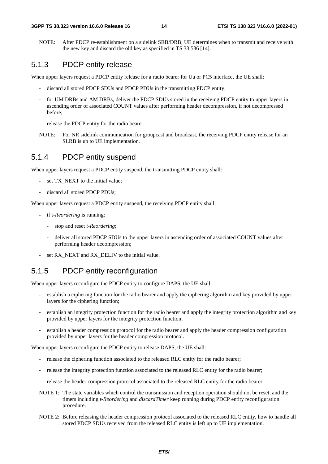NOTE: After PDCP re-establishment on a sidelink SRB/DRB, UE determines when to transmit and receive with the new key and discard the old key as specified in TS 33.536 [14].

### 5.1.3 PDCP entity release

When upper layers request a PDCP entity release for a radio bearer for Uu or PC5 interface, the UE shall:

- discard all stored PDCP SDUs and PDCP PDUs in the transmitting PDCP entity;
- for UM DRBs and AM DRBs, deliver the PDCP SDUs stored in the receiving PDCP entity to upper layers in ascending order of associated COUNT values after performing header decompression, if not decompressed before;
- release the PDCP entity for the radio bearer.
- NOTE: For NR sidelink communication for groupcast and broadcast, the receiving PDCP entity release for an SLRB is up to UE implementation.

#### 5.1.4 PDCP entity suspend

When upper layers request a PDCP entity suspend, the transmitting PDCP entity shall:

- set TX NEXT to the initial value:
- discard all stored PDCP PDUs;

When upper layers request a PDCP entity suspend, the receiving PDCP entity shall:

- if t-*Reordering* is running:
	- stop and reset *t-Reordering*;
	- deliver all stored PDCP SDUs to the upper layers in ascending order of associated COUNT values after performing header decompression;
- set RX\_NEXT and RX\_DELIV to the initial value.

### 5.1.5 PDCP entity reconfiguration

When upper layers reconfigure the PDCP entity to configure DAPS, the UE shall:

- establish a ciphering function for the radio bearer and apply the ciphering algorithm and key provided by upper layers for the ciphering function;
- establish an integrity protection function for the radio bearer and apply the integrity protection algorithm and key provided by upper layers for the integrity protection function;
- establish a header compression protocol for the radio bearer and apply the header compression configuration provided by upper layers for the header compression protocol.

When upper layers reconfigure the PDCP entity to release DAPS, the UE shall:

- release the ciphering function associated to the released RLC entity for the radio bearer;
- release the integrity protection function associated to the released RLC entity for the radio bearer;
- release the header compression protocol associated to the released RLC entity for the radio bearer.
- NOTE 1: The state variables which control the transmission and reception operation should not be reset, and the timers including *t-Reordering* and *discardTimer* keep running during PDCP entity reconfiguration procedure.
- NOTE 2: Before releasing the header compression protocol associated to the released RLC entity, how to handle all stored PDCP SDUs received from the released RLC entity is left up to UE implementation.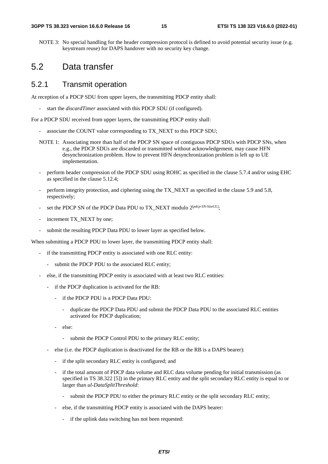NOTE 3: No special handling for the header compression protocol is defined to avoid potential security issue (e.g. keystream reuse) for DAPS handover with no security key change.

### 5.2 Data transfer

#### 5.2.1 Transmit operation

At reception of a PDCP SDU from upper layers, the transmitting PDCP entity shall:

start the *discardTimer* associated with this PDCP SDU (if configured).

For a PDCP SDU received from upper layers, the transmitting PDCP entity shall:

- associate the COUNT value corresponding to TX\_NEXT to this PDCP SDU;
- NOTE 1: Associating more than half of the PDCP SN space of contiguous PDCP SDUs with PDCP SNs, when e.g., the PDCP SDUs are discarded or transmitted without acknowledgement, may cause HFN desynchronization problem. How to prevent HFN desynchronization problem is left up to UE implementation.
- perform header compression of the PDCP SDU using ROHC as specified in the clause 5.7.4 and/or using EHC as specified in the clause 5.12.4;
- perform integrity protection, and ciphering using the TX\_NEXT as specified in the clause 5.9 and 5.8, respectively;
- set the PDCP SN of the PDCP Data PDU to TX\_NEXT modulo 2<sup>[pdcp-SN-SizeUL]</sup>;
- increment TX\_NEXT by one;
- submit the resulting PDCP Data PDU to lower layer as specified below.

When submitting a PDCP PDU to lower layer, the transmitting PDCP entity shall:

- if the transmitting PDCP entity is associated with one RLC entity:
	- submit the PDCP PDU to the associated RLC entity;
- else, if the transmitting PDCP entity is associated with at least two RLC entities:
	- if the PDCP duplication is activated for the RB:
		- if the PDCP PDU is a PDCP Data PDU:
			- duplicate the PDCP Data PDU and submit the PDCP Data PDU to the associated RLC entities activated for PDCP duplication;
		- else:
			- submit the PDCP Control PDU to the primary RLC entity;
	- else (i.e. the PDCP duplication is deactivated for the RB or the RB is a DAPS bearer):
		- if the split secondary RLC entity is configured; and
		- if the total amount of PDCP data volume and RLC data volume pending for initial transmission (as specified in TS 38.322 [5]) in the primary RLC entity and the split secondary RLC entity is equal to or larger than *ul-DataSplitThreshold*:
			- submit the PDCP PDU to either the primary RLC entity or the split secondary RLC entity;
		- else, if the transmitting PDCP entity is associated with the DAPS bearer:
			- if the uplink data switching has not been requested: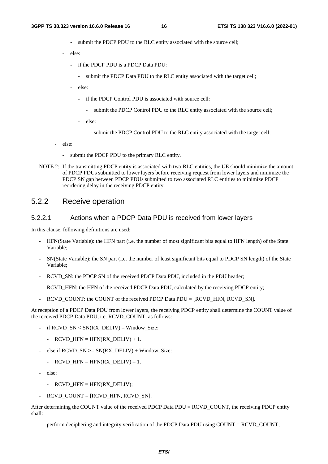- submit the PDCP PDU to the RLC entity associated with the source cell;
- else:
	- if the PDCP PDU is a PDCP Data PDU:
		- submit the PDCP Data PDU to the RLC entity associated with the target cell;
	- else:
		- if the PDCP Control PDU is associated with source cell:
			- submit the PDCP Control PDU to the RLC entity associated with the source cell;
		- else:
			- submit the PDCP Control PDU to the RLC entity associated with the target cell;
- else:
	- submit the PDCP PDU to the primary RLC entity.
- NOTE 2: If the transmitting PDCP entity is associated with two RLC entities, the UE should minimize the amount of PDCP PDUs submitted to lower layers before receiving request from lower layers and minimize the PDCP SN gap between PDCP PDUs submitted to two associated RLC entities to minimize PDCP reordering delay in the receiving PDCP entity.

#### 5.2.2 Receive operation

#### 5.2.2.1 Actions when a PDCP Data PDU is received from lower layers

In this clause, following definitions are used:

- HFN(State Variable): the HFN part (i.e. the number of most significant bits equal to HFN length) of the State Variable;
- SN(State Variable): the SN part (i.e. the number of least significant bits equal to PDCP SN length) of the State Variable;
- RCVD SN: the PDCP SN of the received PDCP Data PDU, included in the PDU header;
- RCVD HFN: the HFN of the received PDCP Data PDU, calculated by the receiving PDCP entity;
- $RCVD$  COUNT: the COUNT of the received PDCP Data PDU = [RCVD\_HFN, RCVD\_SN].

At reception of a PDCP Data PDU from lower layers, the receiving PDCP entity shall determine the COUNT value of the received PDCP Data PDU, i.e. RCVD\_COUNT, as follows:

- if RCVD\_SN < SN(RX\_DELIV) Window\_Size:
	- RCVD HFN = HFN(RX DELIV) + 1.
- else if  $RCVD\_SN \geq SN(RX\_DELIV) + Window\_Size$ :
	- RCVD HFN = HFN(RX DELIV) 1.
- else:
	- RCVD HFN =  $HFN(RX)$  DELIV);
- RCVD COUNT =  $[RCVD$  HFN, RCVD SN].

After determining the COUNT value of the received PDCP Data PDU = RCVD COUNT, the receiving PDCP entity shall:

perform deciphering and integrity verification of the PDCP Data PDU using COUNT = RCVD\_COUNT;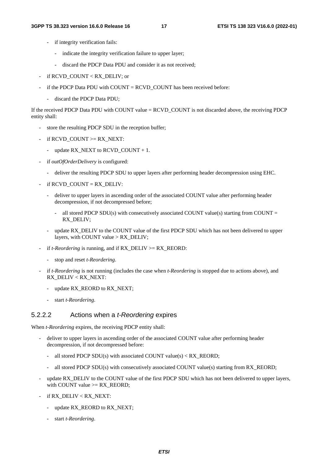- if integrity verification fails:
	- indicate the integrity verification failure to upper layer;
	- discard the PDCP Data PDU and consider it as not received;
- if RCVD\_COUNT < RX\_DELIV; or
- if the PDCP Data PDU with  $COUNT = RCVD\_COUNT$  has been received before:
	- discard the PDCP Data PDU;

If the received PDCP Data PDU with COUNT value = RCVD\_COUNT is not discarded above, the receiving PDCP entity shall:

- store the resulting PDCP SDU in the reception buffer;
- if RCVD COUNT  $>= RX$  NEXT:
	- update RX\_NEXT to RCVD\_COUNT + 1.
- if *outOfOrderDelivery* is configured:
	- deliver the resulting PDCP SDU to upper layers after performing header decompression using EHC.
- if RCVD\_COUNT = RX\_DELIV:
	- deliver to upper layers in ascending order of the associated COUNT value after performing header decompression, if not decompressed before;
		- all stored PDCP SDU(s) with consecutively associated COUNT value(s) starting from COUNT = RX\_DELIV;
	- update RX\_DELIV to the COUNT value of the first PDCP SDU which has not been delivered to upper layers, with COUNT value > RX\_DELIV;
- if *t-Reordering* is running, and if RX DELIV >= RX REORD:
	- stop and reset *t-Reordering*.
- if *t-Reordering* is not running (includes the case when *t-Reordering* is stopped due to actions above), and RX\_DELIV < RX\_NEXT:
	- update RX\_REORD to RX\_NEXT;
	- start *t-Reordering*.

#### 5.2.2.2 Actions when a *t-Reordering* expires

When *t-Reordering* expires, the receiving PDCP entity shall:

- deliver to upper layers in ascending order of the associated COUNT value after performing header decompression, if not decompressed before:
	- all stored PDCP SDU(s) with associated COUNT value(s) < RX\_REORD;
	- all stored PDCP SDU(s) with consecutively associated COUNT value(s) starting from RX\_REORD;
- update RX\_DELIV to the COUNT value of the first PDCP SDU which has not been delivered to upper layers, with COUNT value  $>= RX$  REORD;
- if RX\_DELIV < RX\_NEXT:
	- update RX\_REORD to RX\_NEXT;
	- start *t-Reordering*.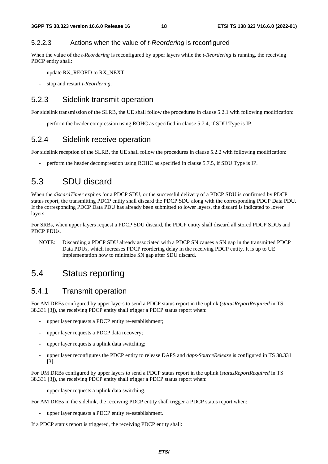#### 5.2.2.3 Actions when the value of *t-Reordering* is reconfigured

When the value of the *t-Reordering* is reconfigured by upper layers while the *t-Reordering* is running, the receiving PDCP entity shall:

- update RX\_REORD to RX\_NEXT;
- stop and restart *t-Reordering*.

#### 5.2.3 Sidelink transmit operation

For sidelink transmission of the SLRB, the UE shall follow the procedures in clause 5.2.1 with following modification:

perform the header compression using ROHC as specified in clause 5.7.4, if SDU Type is IP.

#### 5.2.4 Sidelink receive operation

For sidelink reception of the SLRB, the UE shall follow the procedures in clause 5.2.2 with following modification:

- perform the header decompression using ROHC as specified in clause 5.7.5, if SDU Type is IP.

### 5.3 SDU discard

When the *discardTimer* expires for a PDCP SDU, or the successful delivery of a PDCP SDU is confirmed by PDCP status report, the transmitting PDCP entity shall discard the PDCP SDU along with the corresponding PDCP Data PDU. If the corresponding PDCP Data PDU has already been submitted to lower layers, the discard is indicated to lower layers.

For SRBs, when upper layers request a PDCP SDU discard, the PDCP entity shall discard all stored PDCP SDUs and PDCP PDUs.

NOTE: Discarding a PDCP SDU already associated with a PDCP SN causes a SN gap in the transmitted PDCP Data PDUs, which increases PDCP reordering delay in the receiving PDCP entity. It is up to UE implementation how to minimize SN gap after SDU discard.

### 5.4 Status reporting

### 5.4.1 Transmit operation

For AM DRBs configured by upper layers to send a PDCP status report in the uplink (*statusReportRequired* in TS 38.331 [3]), the receiving PDCP entity shall trigger a PDCP status report when:

- upper layer requests a PDCP entity re-establishment;
- upper layer requests a PDCP data recovery;
- upper layer requests a uplink data switching;
- upper layer reconfigures the PDCP entity to release DAPS and *daps-SourceRelease* is configured in TS 38.331 [3].

For UM DRBs configured by upper layers to send a PDCP status report in the uplink (*statusReportRequired* in TS 38.331 [3]), the receiving PDCP entity shall trigger a PDCP status report when:

upper layer requests a uplink data switching.

For AM DRBs in the sidelink, the receiving PDCP entity shall trigger a PDCP status report when:

upper layer requests a PDCP entity re-establishment.

If a PDCP status report is triggered, the receiving PDCP entity shall: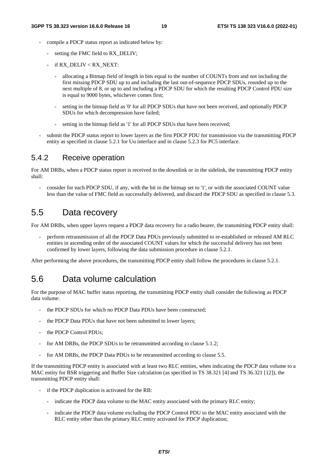- compile a PDCP status report as indicated below by:
	- setting the FMC field to RX\_DELIV;
	- $if RX$  DELIV < RX\_NEXT:
		- allocating a Bitmap field of length in bits equal to the number of COUNTs from and not including the first missing PDCP SDU up to and including the last out-of-sequence PDCP SDUs, rounded up to the next multiple of 8, or up to and including a PDCP SDU for which the resulting PDCP Control PDU size is equal to 9000 bytes, whichever comes first;
		- setting in the bitmap field as '0' for all PDCP SDUs that have not been received, and optionally PDCP SDUs for which decompression have failed;
		- setting in the bitmap field as '1' for all PDCP SDUs that have been received;
- submit the PDCP status report to lower layers as the first PDCP PDU for transmission via the transmitting PDCP entity as specified in clause 5.2.1 for Uu interface and in clause 5.2.3 for PC5 interface.

#### 5.4.2 Receive operation

For AM DRBs, when a PDCP status report is received in the downlink or in the sidelink, the transmitting PDCP entity shall:

- consider for each PDCP SDU, if any, with the bit in the bitmap set to '1', or with the associated COUNT value less than the value of FMC field as successfully delivered, and discard the PDCP SDU as specified in clause 5.3.

### 5.5 Data recovery

For AM DRBs, when upper layers request a PDCP data recovery for a radio bearer, the transmitting PDCP entity shall:

- perform retransmission of all the PDCP Data PDUs previously submitted to re-established or released AM RLC entities in ascending order of the associated COUNT values for which the successful delivery has not been confirmed by lower layers, following the data submission procedure in clause 5.2.1.

After performing the above procedures, the transmitting PDCP entity shall follow the procedures in clause 5.2.1.

### 5.6 Data volume calculation

For the purpose of MAC buffer status reporting, the transmitting PDCP entity shall consider the following as PDCP data volume:

- the PDCP SDUs for which no PDCP Data PDUs have been constructed:
- the PDCP Data PDUs that have not been submitted to lower layers;
- the PDCP Control PDUs;
- for AM DRBs, the PDCP SDUs to be retransmitted according to clause 5.1.2;
- for AM DRBs, the PDCP Data PDUs to be retransmitted according to clause 5.5.

If the transmitting PDCP entity is associated with at least two RLC entities, when indicating the PDCP data volume to a MAC entity for BSR triggering and Buffer Size calculation (as specified in TS 38.321 [4] and TS 36.321 [12]), the transmitting PDCP entity shall:

- if the PDCP duplication is activated for the RB:
	- indicate the PDCP data volume to the MAC entity associated with the primary RLC entity;
	- indicate the PDCP data volume excluding the PDCP Control PDU to the MAC entity associated with the RLC entity other than the primary RLC entity activated for PDCP duplication;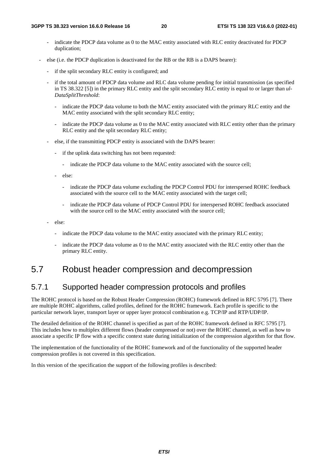- indicate the PDCP data volume as 0 to the MAC entity associated with RLC entity deactivated for PDCP duplication;
- else (i.e. the PDCP duplication is deactivated for the RB or the RB is a DAPS bearer):
	- if the split secondary RLC entity is configured; and
	- if the total amount of PDCP data volume and RLC data volume pending for initial transmission (as specified in TS 38.322 [5]) in the primary RLC entity and the split secondary RLC entity is equal to or larger than *ul-DataSplitThreshold*:
		- indicate the PDCP data volume to both the MAC entity associated with the primary RLC entity and the MAC entity associated with the split secondary RLC entity;
		- indicate the PDCP data volume as 0 to the MAC entity associated with RLC entity other than the primary RLC entity and the split secondary RLC entity;
	- else, if the transmitting PDCP entity is associated with the DAPS bearer:
		- if the uplink data switching has not been requested:
			- indicate the PDCP data volume to the MAC entity associated with the source cell;
		- else:
			- indicate the PDCP data volume excluding the PDCP Control PDU for interspersed ROHC feedback associated with the source cell to the MAC entity associated with the target cell;
			- indicate the PDCP data volume of PDCP Control PDU for interspersed ROHC feedback associated with the source cell to the MAC entity associated with the source cell;
	- else:
		- indicate the PDCP data volume to the MAC entity associated with the primary RLC entity;
		- indicate the PDCP data volume as 0 to the MAC entity associated with the RLC entity other than the primary RLC entity.

### 5.7 Robust header compression and decompression

### 5.7.1 Supported header compression protocols and profiles

The ROHC protocol is based on the Robust Header Compression (ROHC) framework defined in RFC 5795 [7]. There are multiple ROHC algorithms, called profiles, defined for the ROHC framework. Each profile is specific to the particular network layer, transport layer or upper layer protocol combination e.g. TCP/IP and RTP/UDP/IP.

The detailed definition of the ROHC channel is specified as part of the ROHC framework defined in RFC 5795 [7]. This includes how to multiplex different flows (header compressed or not) over the ROHC channel, as well as how to associate a specific IP flow with a specific context state during initialization of the compression algorithm for that flow.

The implementation of the functionality of the ROHC framework and of the functionality of the supported header compression profiles is not covered in this specification.

In this version of the specification the support of the following profiles is described: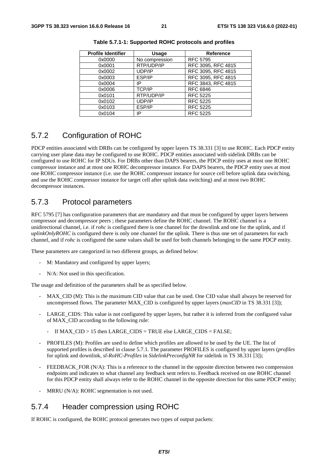| <b>Profile Identifier</b> | <b>Usage</b>   | <b>Reference</b>   |
|---------------------------|----------------|--------------------|
| 0x0000                    | No compression | <b>RFC 5795</b>    |
| 0x0001                    | RTP/UDP/IP     | RFC 3095, RFC 4815 |
| 0x0002                    | UDP/IP         | RFC 3095, RFC 4815 |
| 0x0003                    | ESP/IP         | RFC 3095, RFC 4815 |
| 0x0004                    | IP             | RFC 3843, RFC 4815 |
| 0x0006                    | <b>TCP/IP</b>  | <b>RFC 6846</b>    |
| 0x0101                    | RTP/UDP/IP     | <b>RFC 5225</b>    |
| 0x0102                    | UDP/IP         | <b>RFC 5225</b>    |
| 0x0103                    | ESP/IP         | <b>RFC 5225</b>    |
| 0x0104                    | IP             | <b>RFC 5225</b>    |

**Table 5.7.1-1: Supported ROHC protocols and profiles** 

### 5.7.2 Configuration of ROHC

PDCP entities associated with DRBs can be configured by upper layers TS 38.331 [3] to use ROHC. Each PDCP entity carrying user plane data may be configured to use ROHC. PDCP entities associated with sidelink DRBs can be configured to use ROHC for IP SDUs. For DRBs other than DAPS bearers, the PDCP entity uses at most one ROHC compressor instance and at most one ROHC decompressor instance. For DAPS bearers, the PDCP entity uses at most one ROHC compressor instance (i.e. use the ROHC compressor instance for source cell before uplink data switching, and use the ROHC compressor instance for target cell after uplink data switching) and at most two ROHC decompressor instances.

### 5.7.3 Protocol parameters

RFC 5795 [7] has configuration parameters that are mandatory and that must be configured by upper layers between compressor and decompressor peers ; these parameters define the ROHC channel. The ROHC channel is a unidirectional channel, i.e. if *rohc* is configured there is one channel for the downlink and one for the uplink, and if *uplinkOnlyROHC* is configured there is only one channel for the uplink. There is thus one set of parameters for each channel, and if *rohc* is configured the same values shall be used for both channels belonging to the same PDCP entity.

These parameters are categorized in two different groups, as defined below:

- M: Mandatory and configured by upper layers;
- N/A: Not used in this specification.

The usage and definition of the parameters shall be as specified below.

- MAX\_CID (M): This is the maximum CID value that can be used. One CID value shall always be reserved for uncompressed flows. The parameter MAX\_CID is configured by upper layers (*maxCID* in TS 38.331 [3]);
- LARGE CIDS: This value is not configured by upper layers, but rather it is inferred from the configured value of MAX\_CID according to the following rule:
	- If MAX\_CID > 15 then LARGE\_CIDS = TRUE else LARGE\_CIDS = FALSE;
- PROFILES (M): Profiles are used to define which profiles are allowed to be used by the UE. The list of supported profiles is described in clause 5.7.1. The parameter PROFILES is configured by upper layers (*profiles* for uplink and downlink, *sl-RoHC-Profiles* in *SidelinkPreconfigNR* for sidelink in TS 38.331 [3]);
- FEEDBACK FOR (N/A): This is a reference to the channel in the opposite direction between two compression endpoints and indicates to what channel any feedback sent refers to. Feedback received on one ROHC channel for this PDCP entity shall always refer to the ROHC channel in the opposite direction for this same PDCP entity;
- $MRRU$  (N/A): ROHC segmentation is not used.

### 5.7.4 Header compression using ROHC

If ROHC is configured, the ROHC protocol generates two types of output packets: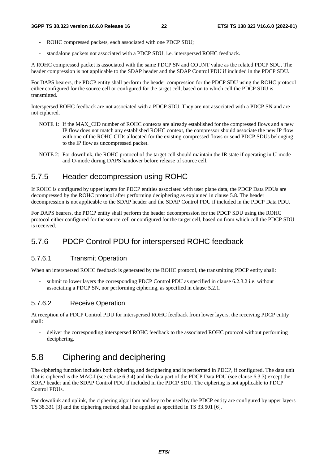- ROHC compressed packets, each associated with one PDCP SDU;
- standalone packets not associated with a PDCP SDU, i.e. interspersed ROHC feedback.

A ROHC compressed packet is associated with the same PDCP SN and COUNT value as the related PDCP SDU. The header compression is not applicable to the SDAP header and the SDAP Control PDU if included in the PDCP SDU.

For DAPS bearers, the PDCP entity shall perform the header compression for the PDCP SDU using the ROHC protocol either configured for the source cell or configured for the target cell, based on to which cell the PDCP SDU is transmitted.

Interspersed ROHC feedback are not associated with a PDCP SDU. They are not associated with a PDCP SN and are not ciphered.

- NOTE 1: If the MAX CID number of ROHC contexts are already established for the compressed flows and a new IP flow does not match any established ROHC context, the compressor should associate the new IP flow with one of the ROHC CIDs allocated for the existing compressed flows or send PDCP SDUs belonging to the IP flow as uncompressed packet.
- NOTE 2: For downlink, the ROHC protocol of the target cell should maintain the IR state if operating in U-mode and O-mode during DAPS handover before release of source cell.

### 5.7.5 Header decompression using ROHC

If ROHC is configured by upper layers for PDCP entities associated with user plane data, the PDCP Data PDUs are decompressed by the ROHC protocol after performing deciphering as explained in clause 5.8. The header decompression is not applicable to the SDAP header and the SDAP Control PDU if included in the PDCP Data PDU.

For DAPS bearers, the PDCP entity shall perform the header decompression for the PDCP SDU using the ROHC protocol either configured for the source cell or configured for the target cell, based on from which cell the PDCP SDU is received.

### 5.7.6 PDCP Control PDU for interspersed ROHC feedback

#### 5.7.6.1 Transmit Operation

When an interspersed ROHC feedback is generated by the ROHC protocol, the transmitting PDCP entity shall:

submit to lower layers the corresponding PDCP Control PDU as specified in clause 6.2.3.2 i.e. without associating a PDCP SN, nor performing ciphering, as specified in clause 5.2.1.

#### 5.7.6.2 Receive Operation

At reception of a PDCP Control PDU for interspersed ROHC feedback from lower layers, the receiving PDCP entity shall:

- deliver the corresponding interspersed ROHC feedback to the associated ROHC protocol without performing deciphering.

### 5.8 Ciphering and deciphering

The ciphering function includes both ciphering and deciphering and is performed in PDCP, if configured. The data unit that is ciphered is the MAC-I (see clause 6.3.4) and the data part of the PDCP Data PDU (see clause 6.3.3) except the SDAP header and the SDAP Control PDU if included in the PDCP SDU. The ciphering is not applicable to PDCP Control PDUs.

For downlink and uplink, the ciphering algorithm and key to be used by the PDCP entity are configured by upper layers TS 38.331 [3] and the ciphering method shall be applied as specified in TS 33.501 [6].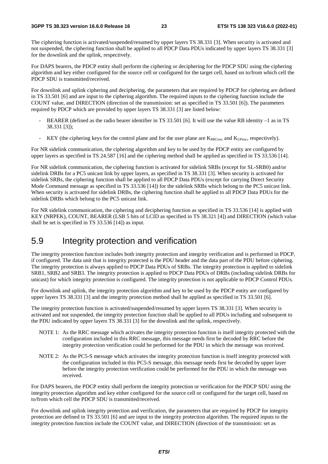The ciphering function is activated/suspended/resumed by upper layers TS 38.331 [3]. When security is activated and not suspended, the ciphering function shall be applied to all PDCP Data PDUs indicated by upper layers TS 38.331 [3] for the downlink and the uplink, respectively.

For DAPS bearers, the PDCP entity shall perform the ciphering or deciphering for the PDCP SDU using the ciphering algorithm and key either configured for the source cell or configured for the target cell, based on to/from which cell the PDCP SDU is transmitted/received.

For downlink and uplink ciphering and deciphering, the parameters that are required by PDCP for ciphering are defined in TS 33.501 [6] and are input to the ciphering algorithm. The required inputs to the ciphering function include the COUNT value, and DIRECTION (direction of the transmission: set as specified in TS 33.501 [6]). The parameters required by PDCP which are provided by upper layers TS 38.331 [3] are listed below:

- BEARER (defined as the radio bearer identifier in TS 33.501 [6]. It will use the value RB identity –1 as in TS 38.331 [3]);
- KEY (the ciphering keys for the control plane and for the user plane are  $K_{RRCenc}$  and  $K_{UPenc}$ , respectively).

For NR sidelink communication, the ciphering algorithm and key to be used by the PDCP entity are configured by upper layers as specified in TS 24.587 [16] and the ciphering method shall be applied as specified in TS 33.536 [14].

For NR sidelink communication, the ciphering function is activated for sidelink SRBs (except for SL-SRB0) and/or sidelink DRBs for a PC5 unicast link by upper layers, as specified in TS 38.331 [3]. When security is activated for sidelink SRBs, the ciphering function shall be applied to all PDCP Data PDUs (except for carrying Direct Security Mode Command message as specified in TS 33.536 [14]) for the sidelink SRBs which belong to the PC5 unicast link. When security is activated for sidelink DRBs, the ciphering function shall be applied to all PDCP Data PDUs for the sidelink DRBs which belong to the PC5 unicast link.

For NR sidelink communication, the ciphering and deciphering function as specified in TS 33.536 [14] is applied with KEY (NRPEK), COUNT, BEARER (LSB 5 bits of LCID as specified in TS 38.321 [4]) and DIRECTION (which value shall be set is specified in TS 33.536 [14]) as input.

### 5.9 Integrity protection and verification

The integrity protection function includes both integrity protection and integrity verification and is performed in PDCP, if configured. The data unit that is integrity protected is the PDU header and the data part of the PDU before ciphering. The integrity protection is always applied to PDCP Data PDUs of SRBs. The integrity protection is applied to sidelink SRB1, SRB2 and SRB3. The integrity protection is applied to PDCP Data PDUs of DRBs (including sidelink DRBs for unicast) for which integrity protection is configured. The integrity protection is not applicable to PDCP Control PDUs.

For downlink and uplink, the integrity protection algorithm and key to be used by the PDCP entity are configured by upper layers TS 38.331 [3] and the integrity protection method shall be applied as specified in TS 33.501 [6].

The integrity protection function is activated/suspended/resumed by upper layers TS 38.331 [3]. When security is activated and not suspended, the integrity protection function shall be applied to all PDUs including and subsequent to the PDU indicated by upper layers TS 38.331 [3] for the downlink and the uplink, respectively.

- NOTE 1: As the RRC message which activates the integrity protection function is itself integrity protected with the configuration included in this RRC message, this message needs first be decoded by RRC before the integrity protection verification could be performed for the PDU in which the message was received.
- NOTE 2: As the PC5-S message which activates the integrity protection function is itself integrity protected with the configuration included in this PC5-S message, this message needs first be decoded by upper layer before the integrity protection verification could be performed for the PDU in which the message was received.

For DAPS bearers, the PDCP entity shall perform the integrity protection or verification for the PDCP SDU using the integrity protection algorithm and key either configured for the source cell or configured for the target cell, based on to/from which cell the PDCP SDU is transmitted/received.

For downlink and uplink integrity protection and verification, the parameters that are required by PDCP for integrity protection are defined in TS 33.501 [6] and are input to the integrity protection algorithm. The required inputs to the integrity protection function include the COUNT value, and DIRECTION (direction of the transmission: set as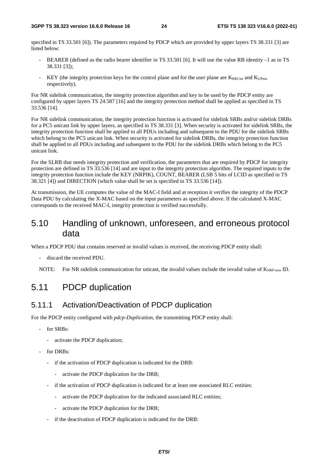specified in TS 33.501 [6]). The parameters required by PDCP which are provided by upper layers TS 38.331 [3] are listed below:

- BEARER (defined as the radio bearer identifier in TS 33.501 [6]. It will use the value RB identity –1 as in TS 38.331 [3]);
- KEY (the integrity protection keys for the control plane and for the user plane are  $K_{RRCint}$  and  $K_{UPint}$ , respectively).

For NR sidelink communication, the integrity protection algorithm and key to be used by the PDCP entity are configured by upper layers TS 24.587 [16] and the integrity protection method shall be applied as specified in TS 33.536 [14].

For NR sidelink communication, the integrity protection function is activated for sidelink SRBs and/or sidelink DRBs for a PC5 unicast link by upper layers, as specified in TS 38.331 [3]. When security is activated for sidelink SRBs, the integrity protection function shall be applied to all PDUs including and subsequent to the PDU for the sidelink SRBs which belong to the PC5 unicast link. When security is activated for sidelink DRBs, the integrity protection function shall be applied to all PDUs including and subsequent to the PDU for the sidelink DRBs which belong to the PC5 unicast link.

For the SLRB that needs integrity protection and verification, the parameters that are required by PDCP for integrity protection are defined in TS 33.536 [14] and are input to the integrity protection algorithm. The required inputs to the integrity protection function include the KEY (NRPIK), COUNT, BEARER (LSB 5 bits of LCID as specified in TS 38.321 [4]) and DIRECTION (which value shall be set is specified in TS 33.536 [14]).

At transmission, the UE computes the value of the MAC-I field and at reception it verifies the integrity of the PDCP Data PDU by calculating the X-MAC based on the input parameters as specified above. If the calculated X-MAC corresponds to the received MAC-I, integrity protection is verified successfully.

### 5.10 Handling of unknown, unforeseen, and erroneous protocol data

When a PDCP PDU that contains reserved or invalid values is received, the receiving PDCP entity shall:

- discard the received PDU.
- NOTE: For NR sidelink communication for unicast, the invalid values include the invalid value of K<sub>NRP-sess</sub> ID.

### 5.11 PDCP duplication

### 5.11.1 Activation/Deactivation of PDCP duplication

For the PDCP entity configured with *pdcp-Duplication*, the transmitting PDCP entity shall:

- for SRBs:
	- activate the PDCP duplication;
- for DRBs:
	- if the activation of PDCP duplication is indicated for the DRB:
		- activate the PDCP duplication for the DRB;
	- if the activation of PDCP duplication is indicated for at least one associated RLC entities:
		- activate the PDCP duplication for the indicated associated RLC entities;
		- activate the PDCP duplication for the DRB;
	- if the deactivation of PDCP duplication is indicated for the DRB: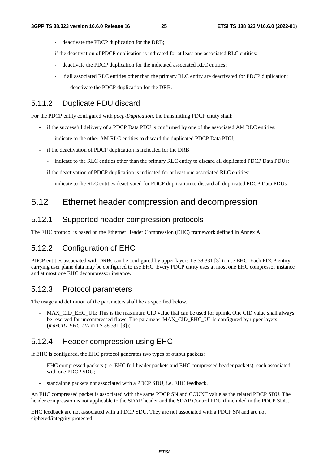- deactivate the PDCP duplication for the DRB;
- if the deactivation of PDCP duplication is indicated for at least one associated RLC entities:
	- deactivate the PDCP duplication for the indicated associated RLC entities;
	- if all associated RLC entities other than the primary RLC entity are deactivated for PDCP duplication:
		- deactivate the PDCP duplication for the DRB.

### 5.11.2 Duplicate PDU discard

For the PDCP entity configured with *pdcp-Duplication*, the transmitting PDCP entity shall:

- if the successful delivery of a PDCP Data PDU is confirmed by one of the associated AM RLC entities:
	- indicate to the other AM RLC entities to discard the duplicated PDCP Data PDU;
- if the deactivation of PDCP duplication is indicated for the DRB:
	- indicate to the RLC entities other than the primary RLC entity to discard all duplicated PDCP Data PDUs;
- if the deactivation of PDCP duplication is indicated for at least one associated RLC entities:
	- indicate to the RLC entities deactivated for PDCP duplication to discard all duplicated PDCP Data PDUs.

### 5.12 Ethernet header compression and decompression

#### 5.12.1 Supported header compression protocols

The EHC protocol is based on the Ethernet Header Compression (EHC) framework defined in Annex A.

### 5.12.2 Configuration of EHC

PDCP entities associated with DRBs can be configured by upper layers TS 38.331 [3] to use EHC. Each PDCP entity carrying user plane data may be configured to use EHC. Every PDCP entity uses at most one EHC compressor instance and at most one EHC decompressor instance.

### 5.12.3 Protocol parameters

The usage and definition of the parameters shall be as specified below.

- MAX\_CID\_EHC\_UL: This is the maximum CID value that can be used for uplink. One CID value shall always be reserved for uncompressed flows. The parameter MAX\_CID\_EHC\_UL is configured by upper layers (*maxCID-EHC-UL* in TS 38.331 [3]);

### 5.12.4 Header compression using EHC

If EHC is configured, the EHC protocol generates two types of output packets:

- EHC compressed packets (i.e. EHC full header packets and EHC compressed header packets), each associated with one PDCP SDU:
- standalone packets not associated with a PDCP SDU, i.e. EHC feedback.

An EHC compressed packet is associated with the same PDCP SN and COUNT value as the related PDCP SDU. The header compression is not applicable to the SDAP header and the SDAP Control PDU if included in the PDCP SDU.

EHC feedback are not associated with a PDCP SDU. They are not associated with a PDCP SN and are not ciphered/integrity protected.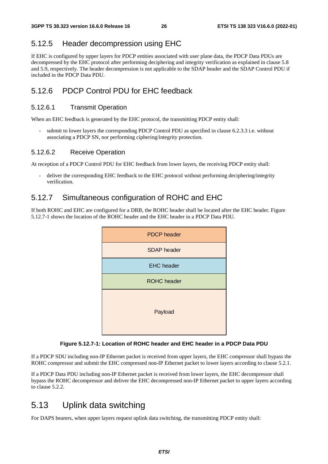### 5.12.5 Header decompression using EHC

If EHC is configured by upper layers for PDCP entities associated with user plane data, the PDCP Data PDUs are decompressed by the EHC protocol after performing deciphering and integrity verification as explained in clause 5.8 and 5.9, respectively. The header decompression is not applicable to the SDAP header and the SDAP Control PDU if included in the PDCP Data PDU.

### 5.12.6 PDCP Control PDU for EHC feedback

#### 5.12.6.1 Transmit Operation

When an EHC feedback is generated by the EHC protocol, the transmitting PDCP entity shall:

submit to lower layers the corresponding PDCP Control PDU as specified in clause 6.2.3.3 i.e. without associating a PDCP SN, nor performing ciphering/integrity protection.

#### 5.12.6.2 Receive Operation

At reception of a PDCP Control PDU for EHC feedback from lower layers, the receiving PDCP entity shall:

deliver the corresponding EHC feedback to the EHC protocol without performing deciphering/integrity verification.

### 5.12.7 Simultaneous configuration of ROHC and EHC

If both ROHC and EHC are configured for a DRB, the ROHC header shall be located after the EHC header. Figure 5.12.7-1 shows the location of the ROHC header and the EHC header in a PDCP Data PDU.



#### **Figure 5.12.7-1: Location of ROHC header and EHC header in a PDCP Data PDU**

If a PDCP SDU including non-IP Ethernet packet is received from upper layers, the EHC compressor shall bypass the ROHC compressor and submit the EHC compressed non-IP Ethernet packet to lower layers according to clause 5.2.1.

If a PDCP Data PDU including non-IP Ethernet packet is received from lower layers, the EHC decompressor shall bypass the ROHC decompressor and deliver the EHC decompressed non-IP Ethernet packet to upper layers according to clause 5.2.2.

### 5.13 Uplink data switching

For DAPS bearers, when upper layers request uplink data switching, the transmitting PDCP entity shall: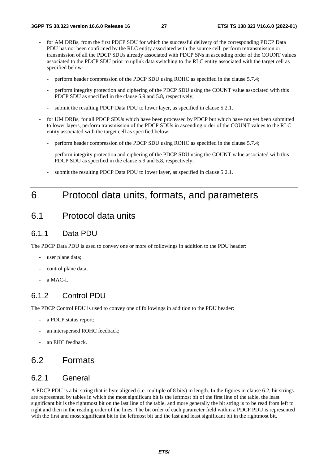- for AM DRBs, from the first PDCP SDU for which the successful delivery of the corresponding PDCP Data PDU has not been confirmed by the RLC entity associated with the source cell, perform retransmission or transmission of all the PDCP SDUs already associated with PDCP SNs in ascending order of the COUNT values associated to the PDCP SDU prior to uplink data switching to the RLC entity associated with the target cell as specified below:
	- perform header compression of the PDCP SDU using ROHC as specified in the clause 5.7.4;
	- perform integrity protection and ciphering of the PDCP SDU using the COUNT value associated with this PDCP SDU as specified in the clause 5.9 and 5.8, respectively;
	- submit the resulting PDCP Data PDU to lower layer, as specified in clause 5.2.1.
- for UM DRBs, for all PDCP SDUs which have been processed by PDCP but which have not yet been submitted to lower layers, perform transmission of the PDCP SDUs in ascending order of the COUNT values to the RLC entity associated with the target cell as specified below:
	- perform header compression of the PDCP SDU using ROHC as specified in the clause 5.7.4;
	- perform integrity protection and ciphering of the PDCP SDU using the COUNT value associated with this PDCP SDU as specified in the clause 5.9 and 5.8, respectively;
	- submit the resulting PDCP Data PDU to lower layer, as specified in clause 5.2.1.

### 6 Protocol data units, formats, and parameters

### 6.1 Protocol data units

### 6.1.1 Data PDU

The PDCP Data PDU is used to convey one or more of followings in addition to the PDU header:

- user plane data;
- control plane data;
- a MAC-I.

#### 6.1.2 Control PDU

The PDCP Control PDU is used to convey one of followings in addition to the PDU header:

- a PDCP status report;
- an interspersed ROHC feedback;
- an EHC feedback.

### 6.2 Formats

### 6.2.1 General

A PDCP PDU is a bit string that is byte aligned (i.e. multiple of 8 bits) in length. In the figures in clause 6.2, bit strings are represented by tables in which the most significant bit is the leftmost bit of the first line of the table, the least significant bit is the rightmost bit on the last line of the table, and more generally the bit string is to be read from left to right and then in the reading order of the lines. The bit order of each parameter field within a PDCP PDU is represented with the first and most significant bit in the leftmost bit and the last and least significant bit in the rightmost bit.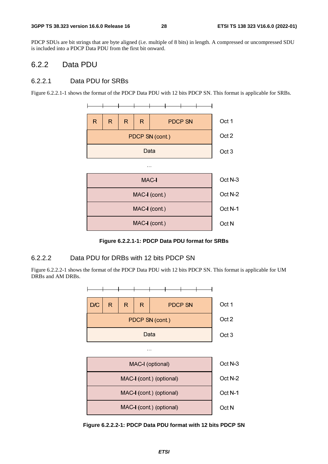PDCP SDUs are bit strings that are byte aligned (i.e. multiple of 8 bits) in length. A compressed or uncompressed SDU is included into a PDCP Data PDU from the first bit onward.

#### 6.2.2 Data PDU

#### 6.2.2.1 Data PDU for SRBs

Figure 6.2.2.1-1 shows the format of the PDCP Data PDU with 12 bits PDCP SN. This format is applicable for SRBs.



**Figure 6.2.2.1-1: PDCP Data PDU format for SRBs** 

#### 6.2.2.2 Data PDU for DRBs with 12 bits PDCP SN

Figure 6.2.2.2-1 shows the format of the PDCP Data PDU with 12 bits PDCP SN. This format is applicable for UM DRBs and AM DRBs.



**Figure 6.2.2.2-1: PDCP Data PDU format with 12 bits PDCP SN**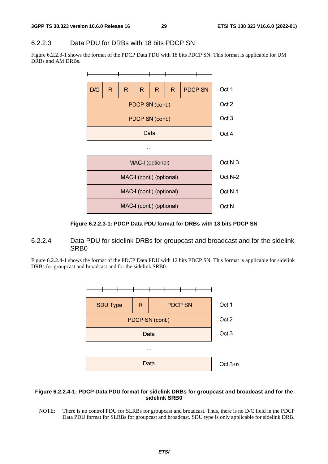#### 6.2.2.3 Data PDU for DRBs with 18 bits PDCP SN

Figure 6.2.2.3-1 shows the format of the PDCP Data PDU with 18 bits PDCP SN. This format is applicable for UM DRBs and AM DRBs.



**Figure 6.2.2.3-1: PDCP Data PDU format for DRBs with 18 bits PDCP SN** 

#### 6.2.2.4 Data PDU for sidelink DRBs for groupcast and broadcast and for the sidelink SRB0

Figure 6.2.2.4-1 shows the format of the PDCP Data PDU with 12 bits PDCP SN. This format is applicable for sidelink DRBs for groupcast and broadcast and for the sidelink SRB0.



#### **Figure 6.2.2.4-1: PDCP Data PDU format for sidelink DRBs for groupcast and broadcast and for the sidelink SRB0**

NOTE: There is no control PDU for SLRBs for groupcast and broadcast. Thus, there is no D/C field in the PDCP Data PDU format for SLRBs for groupcast and broadcast. SDU type is only applicable for sidelink DRB.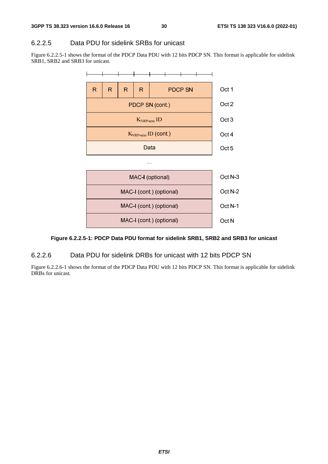#### 6.2.2.5 Data PDU for sidelink SRBs for unicast

Figure 6.2.2.5-1 shows the format of the PDCP Data PDU with 12 bits PDCP SN. This format is applicable for sidelink SRB1, SRB2 and SRB3 for unicast.



#### **Figure 6.2.2.5-1: PDCP Data PDU format for sidelink SRB1, SRB2 and SRB3 for unicast**

#### 6.2.2.6 Data PDU for sidelink DRBs for unicast with 12 bits PDCP SN

Figure 6.2.2.6-1 shows the format of the PDCP Data PDU with 12 bits PDCP SN. This format is applicable for sidelink DRBs for unicast.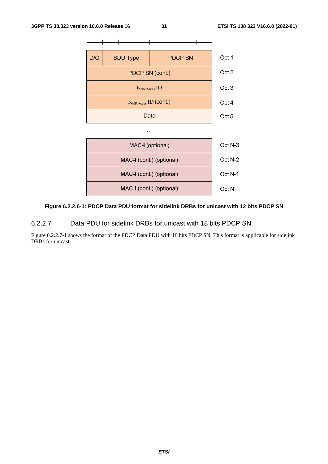

#### **Figure 6.2.2.6-1: PDCP Data PDU format for sidelink DRBs for unicast with 12 bits PDCP SN**

6.2.2.7 Data PDU for sidelink DRBs for unicast with 18 bits PDCP SN

Figure 6.2.2.7-1 shows the format of the PDCP Data PDU with 18 bits PDCP SN. This format is applicable for sidelink DRBs for unicast.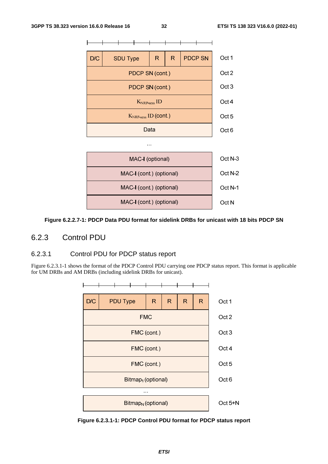

#### **Figure 6.2.2.7-1: PDCP Data PDU format for sidelink DRBs for unicast with 18 bits PDCP SN**

#### 6.2.3 Control PDU

#### 6.2.3.1 Control PDU for PDCP status report

Figure 6.2.3.1-1 shows the format of the PDCP Control PDU carrying one PDCP status report. This format is applicable for UM DRBs and AM DRBs (including sidelink DRBs for unicast).



**Figure 6.2.3.1-1: PDCP Control PDU format for PDCP status report**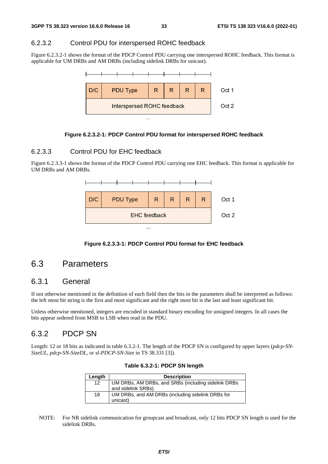#### 6.2.3.2 Control PDU for interspersed ROHC feedback

Figure 6.2.3.2-1 shows the format of the PDCP Control PDU carrying one interspersed ROHC feedback. This format is applicable for UM DRBs and AM DRBs (including sidelink DRBs for unicast).



#### **Figure 6.2.3.2-1: PDCP Control PDU format for interspersed ROHC feedback**

#### 6.2.3.3 Control PDU for EHC feedback

Figure 6.2.3.3-1 shows the format of the PDCP Control PDU carrying one EHC feedback. This format is applicable for UM DRBs and AM DRBs.



**Figure 6.2.3.3-1: PDCP Control PDU format for EHC feedback** 

### 6.3 Parameters

### 6.3.1 General

If not otherwise mentioned in the definition of each field then the bits in the parameters shall be interpreted as follows: the left most bit string is the first and most significant and the right most bit is the last and least significant bit.

Unless otherwise mentioned, integers are encoded in standard binary encoding for unsigned integers. In all cases the bits appear ordered from MSB to LSB when read in the PDU.

### 6.3.2 PDCP SN

Length: 12 or 18 bits as indicated in table 6.3.2-1. The length of the PDCP SN is configured by upper layers (*pdcp-SN-SizeUL, pdcp-SN-SizeDL,* or *sl-PDCP-SN-Size* in TS 38.331 [3]).

| Length | <b>Description</b>                                                        |
|--------|---------------------------------------------------------------------------|
| 12     | UM DRBs, AM DRBs, and SRBs (including sidelink DRBs<br>and sidelink SRBs) |
| 18     | UM DRBs, and AM DRBs (including sidelink DRBs for<br>unicast)             |

**Table 6.3.2-1: PDCP SN length** 

NOTE: For NR sidelink communication for groupcast and broadcast, only 12 bits PDCP SN length is used for the sidelink DRBs.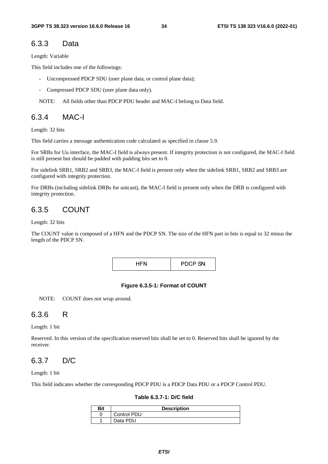#### 6.3.3 Data

Length: Variable

This field includes one of the followings:

- Uncompressed PDCP SDU (user plane data, or control plane data);
- Compressed PDCP SDU (user plane data only).

NOTE: All fields other than PDCP PDU header and MAC-I belong to Data field.

### 6.3.4 MAC-I

Length: 32 bits

This field carries a message authentication code calculated as specified in clause 5.9.

For SRBs for Uu interface, the MAC-I field is always present. If integrity protection is not configured, the MAC-I field is still present but should be padded with padding bits set to 0.

For sidelink SRB1, SRB2 and SRB3, the MAC-I field is present only when the sidelink SRB1, SRB2 and SRB3 are configured with integrity protection.

For DRBs (including sidelink DRBs for unicast), the MAC-I field is present only when the DRB is configured with integrity protection.

### 6.3.5 COUNT

Length: 32 bits

The COUNT value is composed of a HFN and the PDCP SN. The size of the HFN part in bits is equal to 32 minus the length of the PDCP SN.

|  | <b>PDCP SN</b> |
|--|----------------|
|--|----------------|

#### **Figure 6.3.5-1: Format of COUNT**

NOTE: COUNT does not wrap around.

#### 6.3.6 R

Length: 1 bit

Reserved. In this version of the specification reserved bits shall be set to 0. Reserved bits shall be ignored by the receiver.

### 6.3.7 D/C

Length: 1 bit

This field indicates whether the corresponding PDCP PDU is a PDCP Data PDU or a PDCP Control PDU.

**Table 6.3.7-1: D/C field** 

| <b>Bit</b> | <b>Description</b> |
|------------|--------------------|
|            | <b>Control PDU</b> |
|            | Data PDU           |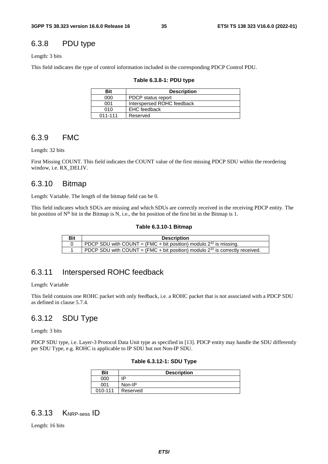### 6.3.8 PDU type

#### Length: 3 bits

This field indicates the type of control information included in the corresponding PDCP Control PDU.

| <b>Bit</b>  | <b>Description</b>         |
|-------------|----------------------------|
| 000         | PDCP status report         |
| 001         | Interspersed ROHC feedback |
| 010         | <b>EHC</b> feedback        |
| $011 - 111$ | Reserved                   |

#### **Table 6.3.8-1: PDU type**

### 6.3.9 FMC

Length: 32 bits

First Missing COUNT. This field indicates the COUNT value of the first missing PDCP SDU within the reordering window, i.e. RX\_DELIV.

#### 6.3.10 Bitmap

Length: Variable. The length of the bitmap field can be 0.

This field indicates which SDUs are missing and which SDUs are correctly received in the receiving PDCP entity. The bit position of  $N<sup>th</sup>$  bit in the Bitmap is N, i.e., the bit position of the first bit in the Bitmap is 1.

#### **Table 6.3.10-1 Bitmap**

| Bit | <b>Description</b>                                                                |
|-----|-----------------------------------------------------------------------------------|
|     | PDCP SDU with COUNT = (FMC + bit position) modulo $2^{32}$ is missing.            |
|     | PDCP SDU with COUNT = (FMC + bit position) modulo $2^{32}$ is correctly received. |

### 6.3.11 Interspersed ROHC feedback

Length: Variable

This field contains one ROHC packet with only feedback, i.e. a ROHC packet that is not associated with a PDCP SDU as defined in clause 5.7.4.

### 6.3.12 SDU Type

Length: 3 bits

PDCP SDU type, i.e. Layer-3 Protocol Data Unit type as specified in [13]. PDCP entity may handle the SDU differently per SDU Type, e.g. ROHC is applicable to IP SDU but not Non-IP SDU.

|  |  | Table 6.3.12-1: SDU Type |  |
|--|--|--------------------------|--|
|--|--|--------------------------|--|

| <b>Bit</b> | <b>Description</b> |  |  |  |  |  |
|------------|--------------------|--|--|--|--|--|
| 000        | םו                 |  |  |  |  |  |
| 001        | Non-IP             |  |  |  |  |  |
| 010-111    | Reserved           |  |  |  |  |  |

### 6.3.13 KNRP-sess ID

Length: 16 bits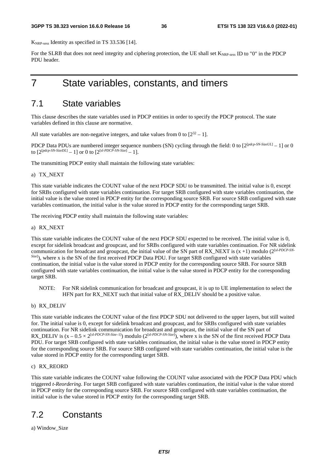K<sub>NRP-sess</sub> Identity as specified in TS 33.536 [14].

For the SLRB that does not need integrity and ciphering protection, the UE shall set  $K_{\text{NRP-sess}}$  ID to "0" in the PDCP PDU header.

### 7 State variables, constants, and timers

### 7.1 State variables

This clause describes the state variables used in PDCP entities in order to specify the PDCP protocol. The state variables defined in this clause are normative.

All state variables are non-negative integers, and take values from 0 to  $[2^{32} - 1]$ .

PDCP Data PDUs are numbered integer sequence numbers (SN) cycling through the field: 0 to  $[2^{[pdcp-SN-SizeUL]} - 1]$  or 0 to  $[2^{[pdep-SN-SizeDL]} - 1]$  or 0 to  $[2^{[s!-PDCP-SN-Size]} - 1]$ .

The transmitting PDCP entity shall maintain the following state variables:

#### a) TX\_NEXT

This state variable indicates the COUNT value of the next PDCP SDU to be transmitted. The initial value is 0, except for SRBs configured with state variables continuation. For target SRB configured with state variables continuation, the initial value is the value stored in PDCP entity for the corresponding source SRB. For source SRB configured with state variables continuation, the initial value is the value stored in PDCP entity for the corresponding target SRB.

The receiving PDCP entity shall maintain the following state variables:

#### a) RX\_NEXT

This state variable indicates the COUNT value of the next PDCP SDU expected to be received. The initial value is 0, except for sidelink broadcast and groupcast, and for SRBs configured with state variables continuation. For NR sidelink communication for broadcast and groupcast, the initial value of the SN part of RX\_NEXT is (x +1) modulo (2[*sl-PDCP-SN-Size*] ), where x is the SN of the first received PDCP Data PDU. For target SRB configured with state variables continuation, the initial value is the value stored in PDCP entity for the corresponding source SRB. For source SRB configured with state variables continuation, the initial value is the value stored in PDCP entity for the corresponding target SRB.

- NOTE: For NR sidelink communication for broadcast and groupcast, it is up to UE implementation to select the HFN part for RX\_NEXT such that initial value of RX\_DELIV should be a positive value.
- b) RX\_DELIV

This state variable indicates the COUNT value of the first PDCP SDU not delivered to the upper layers, but still waited for. The initial value is 0, except for sidelink broadcast and groupcast, and for SRBs configured with state variables continuation. For NR sidelink communication for broadcast and groupcast, the initial value of the SN part of RX\_DELIV is  $(x - 0.5 \times 2^{[sI-PDCP-SN-Size-1]})$  modulo  $(2^{[sI-PDCP-SN-Size]})$ , where x is the SN of the first received PDCP Data PDU. For target SRB configured with state variables continuation, the initial value is the value stored in PDCP entity for the corresponding source SRB. For source SRB configured with state variables continuation, the initial value is the value stored in PDCP entity for the corresponding target SRB.

#### c) RX\_REORD

This state variable indicates the COUNT value following the COUNT value associated with the PDCP Data PDU which triggered *t-Reordering*. For target SRB configured with state variables continuation, the initial value is the value stored in PDCP entity for the corresponding source SRB. For source SRB configured with state variables continuation, the initial value is the value stored in PDCP entity for the corresponding target SRB.

### 7.2 Constants

a) Window\_Size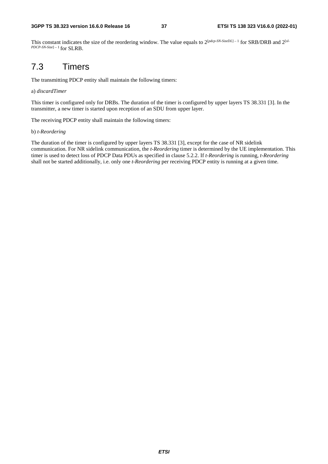This constant indicates the size of the reordering window. The value equals to  $2^{[pdcp\text{-}SN\text{-}SizeDL]-1}$  for SRB/DRB and  $2^{[sl-1]}$ *PDCP-SN-Size*] – 1 for SLRB.

# 7.3 Timers

The transmitting PDCP entity shall maintain the following timers:

#### a) *discardTimer*

This timer is configured only for DRBs. The duration of the timer is configured by upper layers TS 38.331 [3]. In the transmitter, a new timer is started upon reception of an SDU from upper layer.

The receiving PDCP entity shall maintain the following timers:

#### b) *t-Reordering*

The duration of the timer is configured by upper layers TS 38.331 [3], except for the case of NR sidelink communication. For NR sidelink communication, the *t-Reordering* timer is determined by the UE implementation. This timer is used to detect loss of PDCP Data PDUs as specified in clause 5.2.2. If *t-Reordering* is running, *t-Reordering* shall not be started additionally, i.e. only one *t-Reordering* per receiving PDCP entity is running at a given time.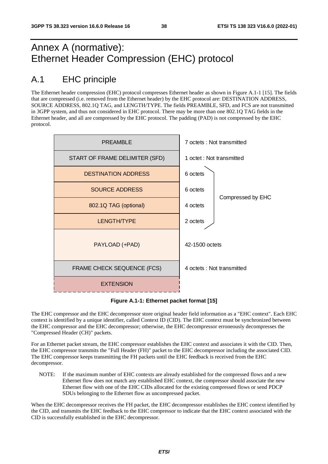# Annex A (normative): Ethernet Header Compression (EHC) protocol

# A.1 EHC principle

The Ethernet header compression (EHC) protocol compresses Ethernet header as shown in Figure A.1-1 [15]. The fields that are compressed (i.e. removed from the Ethernet header) by the EHC protocol are: DESTINATION ADDRESS, SOURCE ADDRESS, 802.1Q TAG, and LENGTH/TYPE. The fields PREAMBLE, SFD, and FCS are not transmitted in 3GPP system, and thus not considered in EHC protocol. There may be more than one 802.1Q TAG fields in the Ethernet header, and all are compressed by the EHC protocol. The padding (PAD) is not compressed by the EHC protocol.



**Figure A.1-1: Ethernet packet format [15]** 

The EHC compressor and the EHC decompressor store original header field information as a "EHC context". Each EHC context is identified by a unique identifier, called Context ID (CID). The EHC context must be synchronized between the EHC compressor and the EHC decompressor; otherwise, the EHC decompressor erroneously decompresses the "Compressed Header (CH)" packets.

For an Ethernet packet stream, the EHC compressor establishes the EHC context and associates it with the CID. Then, the EHC compressor transmits the "Full Header (FH)" packet to the EHC decompressor including the associated CID. The EHC compressor keeps transmitting the FH packets until the EHC feedback is received from the EHC decompressor.

NOTE: If the maximum number of EHC contexts are already established for the compressed flows and a new Ethernet flow does not match any established EHC context, the compressor should associate the new Ethernet flow with one of the EHC CIDs allocated for the existing compressed flows or send PDCP SDUs belonging to the Ethernet flow as uncompressed packet.

When the EHC decompressor receives the FH packet, the EHC decompressor establishes the EHC context identified by the CID, and transmits the EHC feedback to the EHC compressor to indicate that the EHC context associated with the CID is successfully established in the EHC decompressor.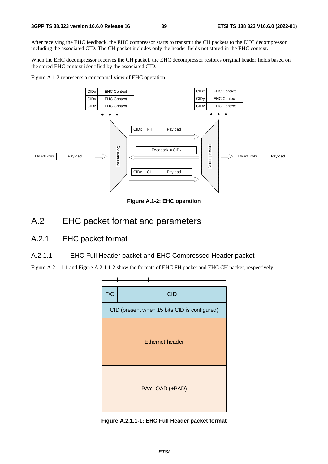After receiving the EHC feedback, the EHC compressor starts to transmit the CH packets to the EHC decompressor including the associated CID. The CH packet includes only the header fields not stored in the EHC context.

When the EHC decompressor receives the CH packet, the EHC decompressor restores original header fields based on the stored EHC context identified by the associated CID.

Figure A.1-2 represents a conceptual view of EHC operation.



**Figure A.1-2: EHC operation**

### A.2 EHC packet format and parameters

### A.2.1 EHC packet format

#### A.2.1.1 EHC Full Header packet and EHC Compressed Header packet

Figure A.2.1.1-1 and Figure A.2.1.1-2 show the formats of EHC FH packet and EHC CH packet, respectively.



**Figure A.2.1.1-1: EHC Full Header packet format**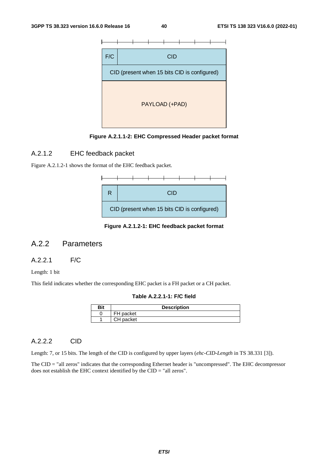



#### A.2.1.2 EHC feedback packet

Figure A.2.1.2-1 shows the format of the EHC feedback packet.



**Figure A.2.1.2-1: EHC feedback packet format** 

#### A.2.2 Parameters

#### A.2.2.1 F/C

Length: 1 bit

This field indicates whether the corresponding EHC packet is a FH packet or a CH packet.

**Table A.2.2.1-1: F/C field** 

| Bit | <b>Description</b> |  |  |  |  |
|-----|--------------------|--|--|--|--|
|     | FH packet          |  |  |  |  |
|     | CH packet          |  |  |  |  |

#### A.2.2.2 CID

Length: 7, or 15 bits. The length of the CID is configured by upper layers (*ehc-CID-Length* in TS 38.331 [3]).

The CID = "all zeros" indicates that the corresponding Ethernet header is "uncompressed". The EHC decompressor does not establish the EHC context identified by the CID = "all zeros".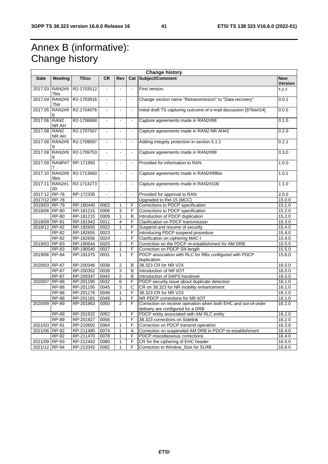# Annex B (informative): Change history

| <b>Change history</b> |                           |             |                          |                          |                          |                                                                                                     |                       |
|-----------------------|---------------------------|-------------|--------------------------|--------------------------|--------------------------|-----------------------------------------------------------------------------------------------------|-----------------------|
| <b>Date</b>           | Meeting                   | <b>TDoc</b> | <b>CR</b>                | Rev                      |                          | Cat Subject/Comment                                                                                 | <b>New</b><br>Version |
| 2017.03               | <b>RAN2#9</b><br>7bis     | R2-1703512  | $\overline{\phantom{a}}$ | $\overline{\phantom{a}}$ |                          | First version.                                                                                      | x.y.z                 |
| 2017.04               | <b>RAN2#9</b><br>7bis     | R2-1703916  | $\blacksquare$           | $\blacksquare$           | $\tilde{\phantom{a}}$    | Change section name "Retransmission" to "Data recovery"                                             | 0.0.1                 |
| 2017.05               | <b>RAN2#9</b><br>8        | R2-1704076  | $\blacksquare$           | $\Box$                   | $\tilde{\phantom{a}}$    | Initial draft TS capturing outcome of e-mail discussion [97bis#24]                                  | 0.0.5                 |
| 2017.06               | RAN <sub>2</sub><br>NR AH | R2-1706868  | $\blacksquare$           | $\mathbb{Z}^2$           | $\bar{\phantom{a}}$      | Capture agreements made in RAN2#98                                                                  | 0.1.0                 |
| 2017.08               | RAN <sub>2</sub><br>NR AH | R2-1707507  | $\blacksquare$           | $\overline{\phantom{a}}$ | $\Box$                   | Capture agreements made in RAN2 NR AH#2                                                             | 0.2.0                 |
| 2017.08               | <b>RAN2#9</b>             | R2-1709097  | $\blacksquare$           | $\blacksquare$           | $\blacksquare$           | Adding integrity protection in section 5.1.2                                                        | 0.2.1                 |
| 2017.08               | <b>RAN2#9</b>             | R2-1709753  |                          | $\overline{\phantom{a}}$ |                          | Capture agreements made in RAN2#99                                                                  | 0.3.0                 |
| 2017.09               | RANP#7                    | RP-171993   | $\blacksquare$           | $\sim$                   | $\sim$                   | Provided for information to RAN                                                                     | 1.0.0                 |
| 2017.10               | <b>RAN2#9</b><br>9bis     | R2-1713660  | $\overline{\phantom{a}}$ | $\blacksquare$           | $\blacksquare$           | Capture agreements made in RAN2#99bis                                                               | 1.0.1                 |
| 2017.11               | <b>RAN2#1</b><br>00       | R2-1714273  | $\overline{a}$           | L.                       | $\overline{\phantom{a}}$ | Capture agreements made in RAN2#100                                                                 | 1.1.0                 |
| 2017.12 RP-78         |                           | RP-172335   | $\blacksquare$           | $\blacksquare$           | $\blacksquare$           | Provided for approval to RAN                                                                        | 2.0.0                 |
| 2017/12 RP-78         |                           |             |                          |                          |                          | Upgraded to Rel-15 (MCC)                                                                            | 15.0.0                |
| 2018/03 RP-79         |                           | RP-180440   | 0002                     | 1                        | F                        | Corrections to PDCP specification                                                                   | 15.1.0                |
| 2018/06 RP-80         |                           | RP-181215   | 0006                     | 3                        | F                        | Corrections to PDCP specification                                                                   | 15.2.0                |
|                       | <b>RP-80</b>              | RP-181215   | 0009                     | 1                        | в                        | Introduction of PDCP duplication                                                                    | 15.2.0                |
| 2018/09 RP-81         |                           | RP-181942   | 0011                     | 4                        | F                        | Clarification on PDCP transmission                                                                  | 15.3.0                |
| 2018/12 RP-82         |                           | RP-182650   | 0022                     | 1                        | F                        | Suspend and resume of security                                                                      | 15.4.0                |
|                       | <b>RP-82</b>              | RP-182655   | 0023                     | $\Box$                   | F                        | Introducing PDCP suspend procedure                                                                  | 15.4.0                |
|                       | <b>RP-82</b>              | RP-182656   | 0024                     | $\Box$                   | F                        | Clarification on ciphering MAC-I                                                                    | 15.4.0                |
| 2019/03 RP-83         |                           | RP-190544   | 0025                     | $\overline{c}$           | F                        | Correction on the PDCP re-establishment for AM DRB                                                  | 15.5.0                |
|                       | <b>RP-83</b>              | RP-190540   | 0027                     | 1                        | F                        | Correction on PDCP SN length                                                                        | 15.5.0                |
| 2019/06               | <b>RP-84</b>              | RP-191375   | 0031                     | $\mathbf{1}$             | F                        | PDCP association with RLC for RBs configured with PDCP<br>duplication                               | 15.6.0                |
| 2020/03 RP-87         |                           | RP-200346   | 0038                     | $\overline{2}$           | B                        | 38.323 CR for NR V2X                                                                                | 16.0.0                |
|                       | <b>RP-87</b>              | RP-200352   | 0039                     | 3                        | B                        | Introduction of NR IIOT                                                                             | 16.0.0                |
|                       | <b>RP-87</b>              | RP-200347   | 0042                     | $\overline{c}$           | B                        | Introduction of DAPS handover                                                                       | 16.0.0                |
| 2020/07               | <b>RP-88</b>              | RP-201190   | 0032                     | $\overline{6}$           | F                        | PDCP security issue about duplicate detection                                                       | 16.1.0                |
|                       | <b>RP-88</b>              | RP-201195   | 0045                     | 3                        | С                        | CR on 38.323 for NR mobility enhancement                                                            | 16.1.0                |
|                       | <b>RP-88</b>              | RP-201176   | 0048                     | 1                        | F                        | 38.323 CR for NR V2X                                                                                | 16.1.0                |
|                       | <b>RP-88</b>              | RP-201181   | 0049                     | 1                        | F                        | NR PDCP corrections for NR IIOT                                                                     | 16.1.0                |
| 2020/09               | <b>RP-89</b>              | RP-201963   | 0050                     | $\overline{2}$           | F                        | Correction on receive operation when both EHC and out-of-order<br>delivery are configured for a DRB | 16.2.0                |
|                       | <b>RP-89</b>              | RP-201932   | 0052                     | 1                        | F                        | PDCP entity associated with AM RLC entity                                                           | 16.2.0                |
|                       | <b>RP-89</b>              | RP-201927   | 0056                     | $\Box$                   | F                        | 38.323 corrections on Sidelink                                                                      | 16.2.0                |
| 2021/03 RP-91         |                           | RP-210692   | 0064                     | $\mathbf{1}$             | F                        | Correction on PDCP transmit operation                                                               | 16.3.0                |
| 2021/06               | RP-92                     | RP-211485   | 0074                     | 1                        | Α                        | Correction on suspended AM DRB in PDCP re-establishment                                             | 16.4.0                |
|                       | <b>RP-92</b>              | RP-211470   | 0078                     | 1                        | F                        | PDCP miscellaneous corrections                                                                      | 16.4.0                |
| 2021/09 RP-93         |                           | RP-212442   | 0080                     | 1                        | F                        | CR for the ciphering of EHC header                                                                  | 16.5.0                |
| 2021/12 RP-94         |                           | RP-213342   | 0082                     | 1                        | F                        | Correction to Window_Size for SLRB                                                                  | 16.6.0                |